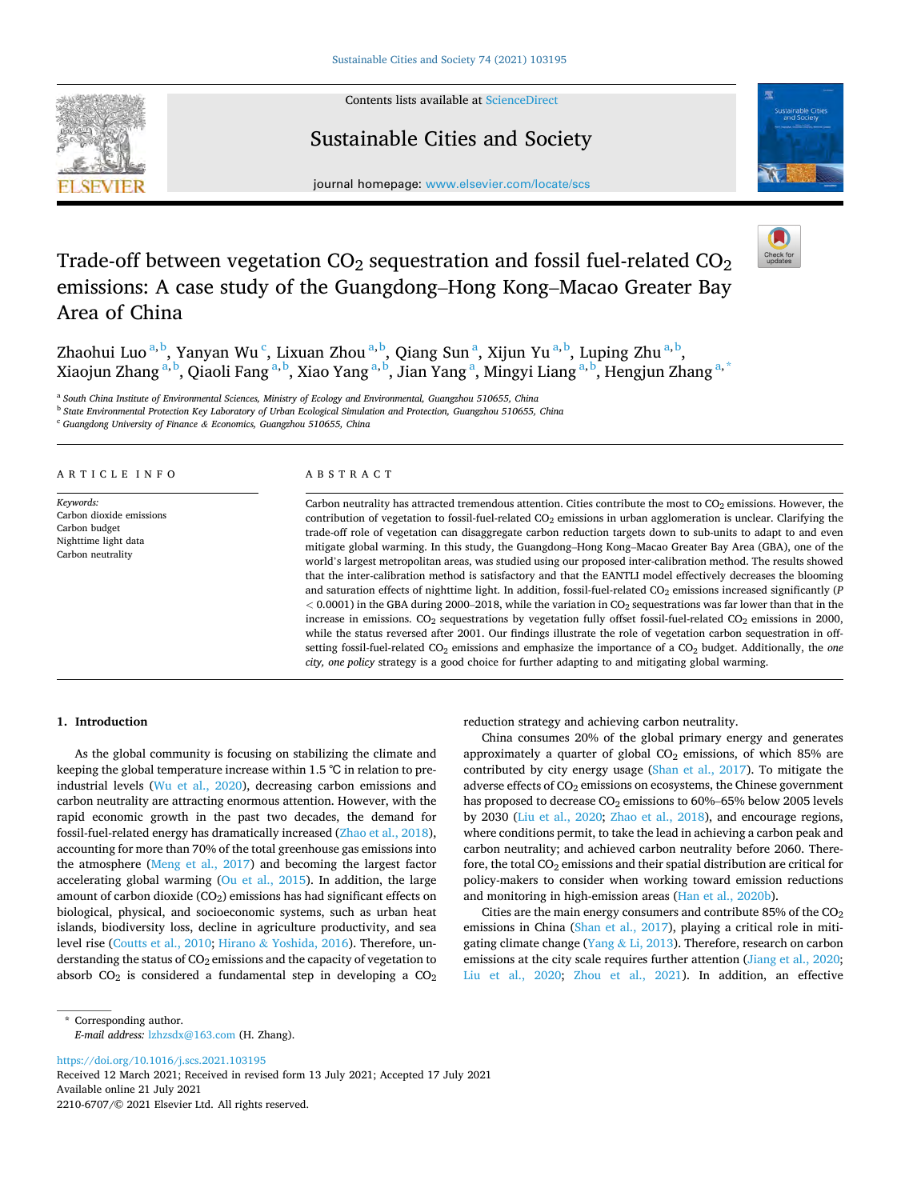

Contents lists available at [ScienceDirect](www.sciencedirect.com/science/journal/22106707)

# Sustainable Cities and Society



journal homepage: [www.elsevier.com/locate/scs](https://www.elsevier.com/locate/scs)

# Trade-off between vegetation  $CO<sub>2</sub>$  sequestration and fossil fuel-related  $CO<sub>2</sub>$ emissions: A case study of the Guangdong–Hong Kong–Macao Greater Bay Area of China

Zhaohui Luo<sup>a,b</sup>, Yanyan Wu<sup>c</sup>, Lixuan Zhou<sup>a,b</sup>, Qiang Sun<sup>a</sup>, Xijun Yu<sup>a,b</sup>, Luping Zhu<sup>a,b</sup>, Xiaojun Zhang <sup>a, b</sup>, Qiaoli Fang <sup>a, b</sup>, Xiao Yang <sup>a, b</sup>, Jian Yang <sup>a</sup>, Mingyi Liang <sup>a, b</sup>, Hengjun Zhang <sup>a, \*</sup>

<sup>a</sup> *South China Institute of Environmental Sciences, Ministry of Ecology and Environmental, Guangzhou 510655, China* 

<sup>b</sup> *State Environmental Protection Key Laboratory of Urban Ecological Simulation and Protection, Guangzhou 510655, China* 

<sup>c</sup> *Guangdong University of Finance & Economics, Guangzhou 510655, China* 

#### A R T I C L E I N F O

*Keywords:*  Carbon dioxide emissions Carbon budget Nighttime light data Carbon neutrality

#### ABSTRACT

Carbon neutrality has attracted tremendous attention. Cities contribute the most to  $CO<sub>2</sub>$  emissions. However, the contribution of vegetation to fossil-fuel-related  $CO<sub>2</sub>$  emissions in urban agglomeration is unclear. Clarifying the trade-off role of vegetation can disaggregate carbon reduction targets down to sub-units to adapt to and even mitigate global warming. In this study, the Guangdong–Hong Kong–Macao Greater Bay Area (GBA), one of the world's largest metropolitan areas, was studied using our proposed inter-calibration method. The results showed that the inter-calibration method is satisfactory and that the EANTLI model effectively decreases the blooming and saturation effects of nighttime light. In addition, fossil-fuel-related CO<sub>2</sub> emissions increased significantly (*P <* 0.0001) in the GBA during 2000–2018, while the variation in CO2 sequestrations was far lower than that in the increase in emissions. CO<sub>2</sub> sequestrations by vegetation fully offset fossil-fuel-related CO<sub>2</sub> emissions in 2000, while the status reversed after 2001. Our findings illustrate the role of vegetation carbon sequestration in offsetting fossil-fuel-related CO<sub>2</sub> emissions and emphasize the importance of a CO<sub>2</sub> budget. Additionally, the *one city, one policy* strategy is a good choice for further adapting to and mitigating global warming.

#### **1. Introduction**

As the global community is focusing on stabilizing the climate and keeping the global temperature increase within 1.5 ℃ in relation to preindustrial levels ([Wu et al., 2020](#page-12-0)), decreasing carbon emissions and carbon neutrality are attracting enormous attention. However, with the rapid economic growth in the past two decades, the demand for fossil-fuel-related energy has dramatically increased ([Zhao et al., 2018](#page-12-0)), accounting for more than 70% of the total greenhouse gas emissions into the atmosphere ([Meng et al., 2017](#page-12-0)) and becoming the largest factor accelerating global warming ( $Ou$  et al., 2015). In addition, the large amount of carbon dioxide  $(CO_2)$  emissions has had significant effects on biological, physical, and socioeconomic systems, such as urban heat islands, biodiversity loss, decline in agriculture productivity, and sea level rise ([Coutts et al., 2010;](#page-12-0) Hirano & [Yoshida, 2016\)](#page-12-0). Therefore, understanding the status of  $CO<sub>2</sub>$  emissions and the capacity of vegetation to absorb  $CO<sub>2</sub>$  is considered a fundamental step in developing a  $CO<sub>2</sub>$  reduction strategy and achieving carbon neutrality.

China consumes 20% of the global primary energy and generates approximately a quarter of global  $CO<sub>2</sub>$  emissions, of which 85% are contributed by city energy usage [\(Shan et al., 2017\)](#page-12-0). To mitigate the adverse effects of  $CO<sub>2</sub>$  emissions on ecosystems, the Chinese government has proposed to decrease CO<sub>2</sub> emissions to 60%–65% below 2005 levels by 2030 [\(Liu et al., 2020](#page-12-0); [Zhao et al., 2018\)](#page-12-0), and encourage regions, where conditions permit, to take the lead in achieving a carbon peak and carbon neutrality; and achieved carbon neutrality before 2060. Therefore, the total  $CO<sub>2</sub>$  emissions and their spatial distribution are critical for policy-makers to consider when working toward emission reductions and monitoring in high-emission areas [\(Han et al., 2020b\)](#page-12-0).

Cities are the main energy consumers and contribute 85% of the  $CO<sub>2</sub>$ emissions in China [\(Shan et al., 2017\)](#page-12-0), playing a critical role in miti-gating climate change (Yang & [Li, 2013](#page-12-0)). Therefore, research on carbon emissions at the city scale requires further attention [\(Jiang et al., 2020](#page-12-0); [Liu et al., 2020](#page-12-0); [Zhou et al., 2021](#page-13-0)). In addition, an effective

\* Corresponding author. *E-mail address:* [lzhzsdx@163.com](mailto:lzhzsdx@163.com) (H. Zhang).

<https://doi.org/10.1016/j.scs.2021.103195>

Available online 21 July 2021 2210-6707/© 2021 Elsevier Ltd. All rights reserved. Received 12 March 2021; Received in revised form 13 July 2021; Accepted 17 July 2021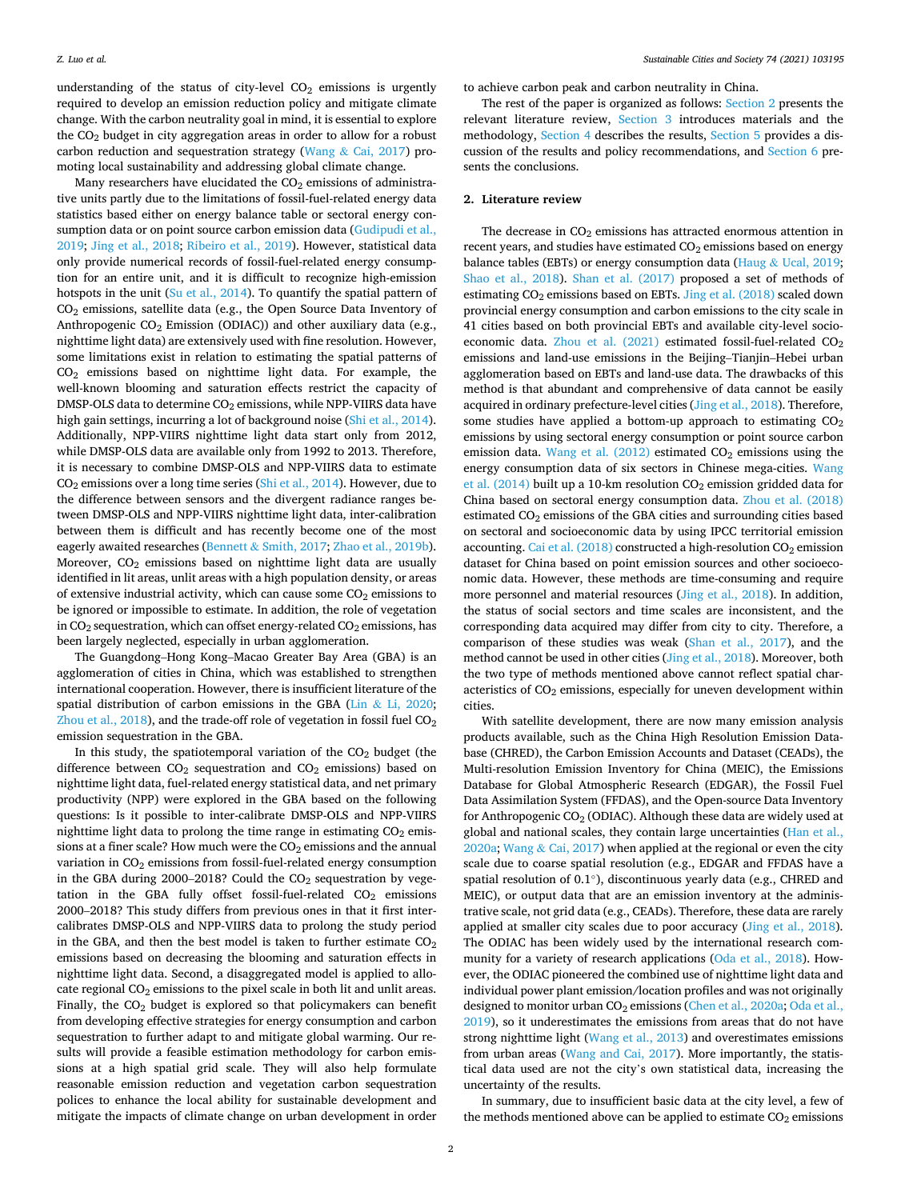understanding of the status of city-level  $CO<sub>2</sub>$  emissions is urgently required to develop an emission reduction policy and mitigate climate change. With the carbon neutrality goal in mind, it is essential to explore the  $CO<sub>2</sub>$  budget in city aggregation areas in order to allow for a robust carbon reduction and sequestration strategy (Wang  $&$  [Cai, 2017](#page-12-0)) promoting local sustainability and addressing global climate change.

Many researchers have elucidated the  $CO<sub>2</sub>$  emissions of administrative units partly due to the limitations of fossil-fuel-related energy data statistics based either on energy balance table or sectoral energy consumption data or on point source carbon emission data [\(Gudipudi et al.,](#page-12-0)  [2019; Jing et al., 2018;](#page-12-0) [Ribeiro et al., 2019\)](#page-12-0). However, statistical data only provide numerical records of fossil-fuel-related energy consumption for an entire unit, and it is difficult to recognize high-emission hotspots in the unit [\(Su et al., 2014\)](#page-12-0). To quantify the spatial pattern of CO2 emissions, satellite data (e.g., the Open Source Data Inventory of Anthropogenic  $CO<sub>2</sub>$  Emission (ODIAC)) and other auxiliary data (e.g., nighttime light data) are extensively used with fine resolution. However, some limitations exist in relation to estimating the spatial patterns of CO2 emissions based on nighttime light data. For example, the well-known blooming and saturation effects restrict the capacity of DMSP-OLS data to determine  $CO<sub>2</sub>$  emissions, while NPP-VIIRS data have high gain settings, incurring a lot of background noise [\(Shi et al., 2014](#page-12-0)). Additionally, NPP-VIIRS nighttime light data start only from 2012, while DMSP-OLS data are available only from 1992 to 2013. Therefore, it is necessary to combine DMSP-OLS and NPP-VIIRS data to estimate CO2 emissions over a long time series ([Shi et al., 2014](#page-12-0)). However, due to the difference between sensors and the divergent radiance ranges between DMSP-OLS and NPP-VIIRS nighttime light data, inter-calibration between them is difficult and has recently become one of the most eagerly awaited researches (Bennett & [Smith, 2017](#page-12-0); [Zhao et al., 2019b](#page-12-0)). Moreover,  $CO<sub>2</sub>$  emissions based on nighttime light data are usually identified in lit areas, unlit areas with a high population density, or areas of extensive industrial activity, which can cause some  $CO<sub>2</sub>$  emissions to be ignored or impossible to estimate. In addition, the role of vegetation in  $CO<sub>2</sub>$  sequestration, which can offset energy-related  $CO<sub>2</sub>$  emissions, has been largely neglected, especially in urban agglomeration.

The Guangdong–Hong Kong–Macao Greater Bay Area (GBA) is an agglomeration of cities in China, which was established to strengthen international cooperation. However, there is insufficient literature of the spatial distribution of carbon emissions in the GBA (Lin  $&$  [Li, 2020](#page-12-0); [Zhou et al., 2018](#page-13-0)), and the trade-off role of vegetation in fossil fuel  $CO<sub>2</sub>$ emission sequestration in the GBA.

In this study, the spatiotemporal variation of the  $CO<sub>2</sub>$  budget (the difference between  $CO<sub>2</sub>$  sequestration and  $CO<sub>2</sub>$  emissions) based on nighttime light data, fuel-related energy statistical data, and net primary productivity (NPP) were explored in the GBA based on the following questions: Is it possible to inter-calibrate DMSP-OLS and NPP-VIIRS nighttime light data to prolong the time range in estimating  $CO<sub>2</sub>$  emissions at a finer scale? How much were the  $CO<sub>2</sub>$  emissions and the annual variation in  $CO<sub>2</sub>$  emissions from fossil-fuel-related energy consumption in the GBA during 2000–2018? Could the  $CO<sub>2</sub>$  sequestration by vegetation in the GBA fully offset fossil-fuel-related  $CO<sub>2</sub>$  emissions 2000–2018? This study differs from previous ones in that it first intercalibrates DMSP-OLS and NPP-VIIRS data to prolong the study period in the GBA, and then the best model is taken to further estimate  $CO<sub>2</sub>$ emissions based on decreasing the blooming and saturation effects in nighttime light data. Second, a disaggregated model is applied to allocate regional  $CO<sub>2</sub>$  emissions to the pixel scale in both lit and unlit areas. Finally, the  $CO<sub>2</sub>$  budget is explored so that policymakers can benefit from developing effective strategies for energy consumption and carbon sequestration to further adapt to and mitigate global warming. Our results will provide a feasible estimation methodology for carbon emissions at a high spatial grid scale. They will also help formulate reasonable emission reduction and vegetation carbon sequestration polices to enhance the local ability for sustainable development and mitigate the impacts of climate change on urban development in order

to achieve carbon peak and carbon neutrality in China.

The rest of the paper is organized as follows: Section 2 presents the relevant literature review, Section 3 introduces materials and the methodology, [Section 4](#page-4-0) describes the results, Section 5 provides a discussion of the results and policy recommendations, and [Section 6](#page-11-0) presents the conclusions.

#### **2. Literature review**

The decrease in  $CO<sub>2</sub>$  emissions has attracted enormous attention in recent years, and studies have estimated  $CO<sub>2</sub>$  emissions based on energy balance tables (EBTs) or energy consumption data (Haug & [Ucal, 2019](#page-12-0); [Shao et al., 2018\)](#page-12-0). [Shan et al. \(2017\)](#page-12-0) proposed a set of methods of estimating  $CO<sub>2</sub>$  emissions based on EBTs. [Jing et al. \(2018\)](#page-12-0) scaled down provincial energy consumption and carbon emissions to the city scale in 41 cities based on both provincial EBTs and available city-level socioeconomic data. Zhou et al.  $(2021)$  estimated fossil-fuel-related  $CO<sub>2</sub>$ emissions and land-use emissions in the Beijing–Tianjin–Hebei urban agglomeration based on EBTs and land-use data. The drawbacks of this method is that abundant and comprehensive of data cannot be easily acquired in ordinary prefecture-level cities [\(Jing et al., 2018](#page-12-0)). Therefore, some studies have applied a bottom-up approach to estimating  $CO<sub>2</sub>$ emissions by using sectoral energy consumption or point source carbon emission data. Wang et al.  $(2012)$  estimated  $CO<sub>2</sub>$  emissions using the energy consumption data of six sectors in Chinese mega-cities. [Wang](#page-12-0)  [et al. \(2014\)](#page-12-0) built up a 10-km resolution  $CO<sub>2</sub>$  emission gridded data for China based on sectoral energy consumption data. [Zhou et al. \(2018\)](#page-13-0)  estimated  $CO<sub>2</sub>$  emissions of the GBA cities and surrounding cities based on sectoral and socioeconomic data by using IPCC territorial emission accounting. Cai et al.  $(2018)$  constructed a high-resolution CO<sub>2</sub> emission dataset for China based on point emission sources and other socioeconomic data. However, these methods are time-consuming and require more personnel and material resources [\(Jing et al., 2018](#page-12-0)). In addition, the status of social sectors and time scales are inconsistent, and the corresponding data acquired may differ from city to city. Therefore, a comparison of these studies was weak ([Shan et al., 2017](#page-12-0)), and the method cannot be used in other cities ([Jing et al., 2018\)](#page-12-0). Moreover, both the two type of methods mentioned above cannot reflect spatial characteristics of CO<sub>2</sub> emissions, especially for uneven development within cities.

With satellite development, there are now many emission analysis products available, such as the China High Resolution Emission Database (CHRED), the Carbon Emission Accounts and Dataset (CEADs), the Multi-resolution Emission Inventory for China (MEIC), the Emissions Database for Global Atmospheric Research (EDGAR), the Fossil Fuel Data Assimilation System (FFDAS), and the Open-source Data Inventory for Anthropogenic  $CO<sub>2</sub>$  (ODIAC). Although these data are widely used at global and national scales, they contain large uncertainties ([Han et al.,](#page-12-0)  [2020a;](#page-12-0) Wang  $&$  [Cai, 2017\)](#page-12-0) when applied at the regional or even the city scale due to coarse spatial resolution (e.g., EDGAR and FFDAS have a spatial resolution of 0.1◦), discontinuous yearly data (e.g., CHRED and MEIC), or output data that are an emission inventory at the administrative scale, not grid data (e.g., CEADs). Therefore, these data are rarely applied at smaller city scales due to poor accuracy ([Jing et al., 2018](#page-12-0)). The ODIAC has been widely used by the international research community for a variety of research applications [\(Oda et al., 2018\)](#page-12-0). However, the ODIAC pioneered the combined use of nighttime light data and individual power plant emission/location profiles and was not originally designed to monitor urban  $CO<sub>2</sub>$  emissions [\(Chen et al., 2020a](#page-12-0); Oda et al., [2019\)](#page-12-0), so it underestimates the emissions from areas that do not have strong nighttime light [\(Wang et al., 2013](#page-12-0)) and overestimates emissions from urban areas ([Wang and Cai, 2017](#page-12-0)). More importantly, the statistical data used are not the city's own statistical data, increasing the uncertainty of the results.

In summary, due to insufficient basic data at the city level, a few of the methods mentioned above can be applied to estimate  $CO<sub>2</sub>$  emissions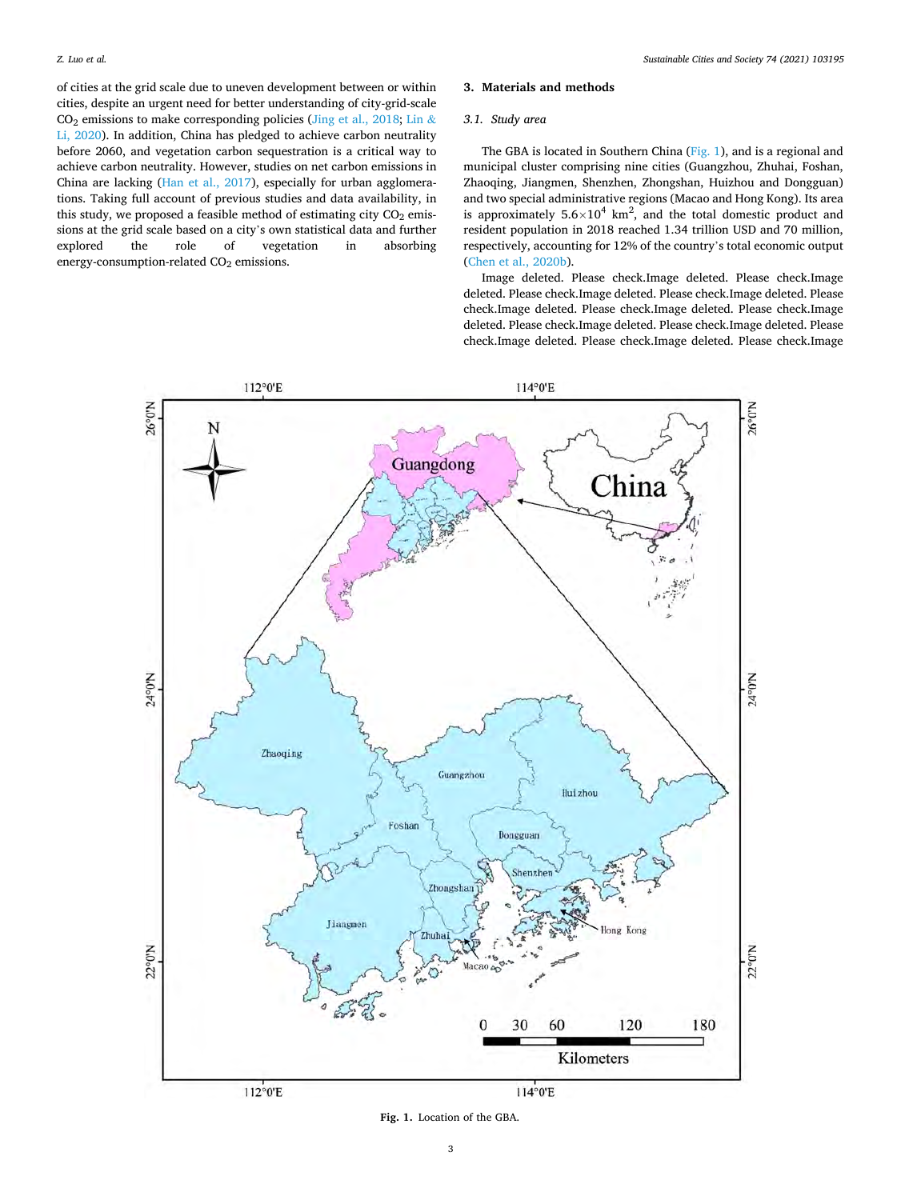of cities at the grid scale due to uneven development between or within cities, despite an urgent need for better understanding of city-grid-scale  $CO<sub>2</sub>$  emissions to make corresponding policies [\(Jing et al., 2018](#page-12-0); [Lin](#page-12-0) & [Li, 2020](#page-12-0)). In addition, China has pledged to achieve carbon neutrality before 2060, and vegetation carbon sequestration is a critical way to achieve carbon neutrality. However, studies on net carbon emissions in China are lacking [\(Han et al., 2017](#page-12-0)), especially for urban agglomerations. Taking full account of previous studies and data availability, in this study, we proposed a feasible method of estimating city  $CO<sub>2</sub>$  emissions at the grid scale based on a city's own statistical data and further explored the role of vegetation in absorbing energy-consumption-related CO<sub>2</sub> emissions.

#### **3. Materials and methods**

#### *3.1. Study area*

The GBA is located in Southern China (Fig. 1), and is a regional and municipal cluster comprising nine cities (Guangzhou, Zhuhai, Foshan, Zhaoqing, Jiangmen, Shenzhen, Zhongshan, Huizhou and Dongguan) and two special administrative regions (Macao and Hong Kong). Its area is approximately  $5.6 \times 10^4$  km<sup>2</sup>, and the total domestic product and resident population in 2018 reached 1.34 trillion USD and 70 million, respectively, accounting for 12% of the country's total economic output ([Chen et al., 2020b\)](#page-12-0).

Image deleted. Please check.Image deleted. Please check.Image deleted. Please check.Image deleted. Please check.Image deleted. Please check.Image deleted. Please check.Image deleted. Please check.Image deleted. Please check.Image deleted. Please check.Image deleted. Please check.Image deleted. Please check.Image deleted. Please check.Image



**Fig. 1.** Location of the GBA.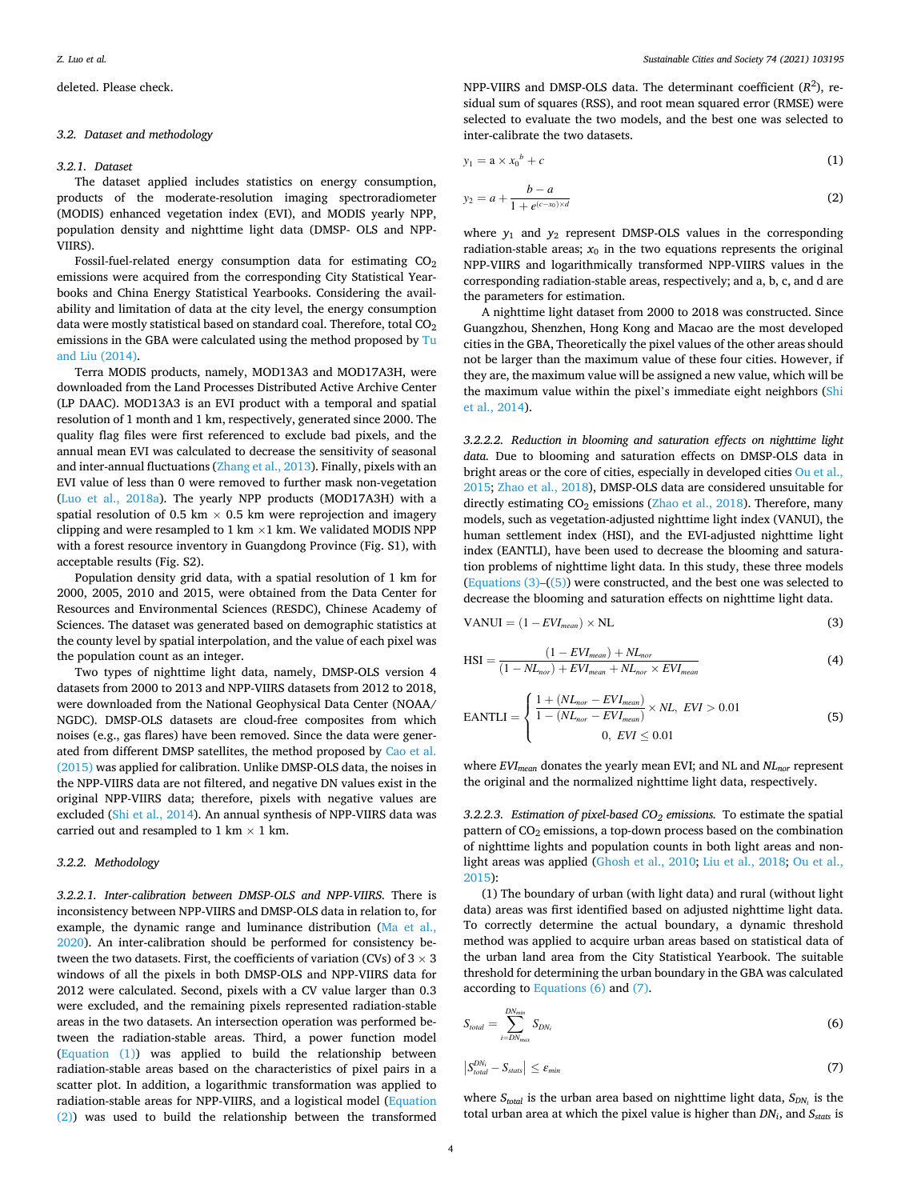#### <span id="page-3-0"></span>deleted. Please check.

#### *3.2. Dataset and methodology*

#### *3.2.1. Dataset*

The dataset applied includes statistics on energy consumption, products of the moderate-resolution imaging spectroradiometer (MODIS) enhanced vegetation index (EVI), and MODIS yearly NPP, population density and nighttime light data (DMSP- OLS and NPP-VIIRS).

Fossil-fuel-related energy consumption data for estimating  $CO<sub>2</sub>$ emissions were acquired from the corresponding City Statistical Yearbooks and China Energy Statistical Yearbooks. Considering the availability and limitation of data at the city level, the energy consumption data were mostly statistical based on standard coal. Therefore, total  $CO<sub>2</sub>$ emissions in the GBA were calculated using the method proposed by [Tu](#page-12-0)  [and Liu \(2014\).](#page-12-0)

Terra MODIS products, namely, MOD13A3 and MOD17A3H, were downloaded from the Land Processes Distributed Active Archive Center (LP DAAC). MOD13A3 is an EVI product with a temporal and spatial resolution of 1 month and 1 km, respectively, generated since 2000. The quality flag files were first referenced to exclude bad pixels, and the annual mean EVI was calculated to decrease the sensitivity of seasonal and inter-annual fluctuations [\(Zhang et al., 2013\)](#page-12-0). Finally, pixels with an EVI value of less than 0 were removed to further mask non-vegetation ([Luo et al., 2018a](#page-12-0)). The yearly NPP products (MOD17A3H) with a spatial resolution of 0.5 km  $\times$  0.5 km were reprojection and imagery clipping and were resampled to 1 km  $\times$ 1 km. We validated MODIS NPP with a forest resource inventory in Guangdong Province (Fig. S1), with acceptable results (Fig. S2).

Population density grid data, with a spatial resolution of 1 km for 2000, 2005, 2010 and 2015, were obtained from the Data Center for Resources and Environmental Sciences (RESDC), Chinese Academy of Sciences. The dataset was generated based on demographic statistics at the county level by spatial interpolation, and the value of each pixel was the population count as an integer.

Two types of nighttime light data, namely, DMSP-OLS version 4 datasets from 2000 to 2013 and NPP-VIIRS datasets from 2012 to 2018, were downloaded from the National Geophysical Data Center (NOAA/ NGDC). DMSP-OLS datasets are cloud-free composites from which noises (e.g., gas flares) have been removed. Since the data were generated from different DMSP satellites, the method proposed by [Cao et al.](#page-12-0)  [\(2015\)](#page-12-0) was applied for calibration. Unlike DMSP-OLS data, the noises in the NPP-VIIRS data are not filtered, and negative DN values exist in the original NPP-VIIRS data; therefore, pixels with negative values are excluded [\(Shi et al., 2014](#page-12-0)). An annual synthesis of NPP-VIIRS data was carried out and resampled to 1 km  $\times$  1 km.

#### *3.2.2. Methodology*

*3.2.2.1. Inter-calibration between DMSP-OLS and NPP-VIIRS.* There is inconsistency between NPP-VIIRS and DMSP-OLS data in relation to, for example, the dynamic range and luminance distribution [\(Ma et al.,](#page-12-0)  [2020\)](#page-12-0). An inter-calibration should be performed for consistency between the two datasets. First, the coefficients of variation (CVs) of  $3 \times 3$ windows of all the pixels in both DMSP-OLS and NPP-VIIRS data for 2012 were calculated. Second, pixels with a CV value larger than 0.3 were excluded, and the remaining pixels represented radiation-stable areas in the two datasets. An intersection operation was performed between the radiation-stable areas. Third, a power function model (Equation (1)) was applied to build the relationship between radiation-stable areas based on the characteristics of pixel pairs in a scatter plot. In addition, a logarithmic transformation was applied to radiation-stable areas for NPP-VIIRS, and a logistical model (Equation (2)) was used to build the relationship between the transformed

NPP-VIIRS and DMSP-OLS data. The determinant coefficient  $(R^2)$ , residual sum of squares (RSS), and root mean squared error (RMSE) were selected to evaluate the two models, and the best one was selected to inter-calibrate the two datasets.

$$
y_1 = a \times x_0^b + c \tag{1}
$$

$$
y_2 = a + \frac{b - a}{1 + e^{(c - x_0) \times d}}
$$
 (2)

where  $y_1$  and  $y_2$  represent DMSP-OLS values in the corresponding radiation-stable areas;  $x_0$  in the two equations represents the original NPP-VIIRS and logarithmically transformed NPP-VIIRS values in the corresponding radiation-stable areas, respectively; and a, b, c, and d are the parameters for estimation.

A nighttime light dataset from 2000 to 2018 was constructed. Since Guangzhou, Shenzhen, Hong Kong and Macao are the most developed cities in the GBA, Theoretically the pixel values of the other areas should not be larger than the maximum value of these four cities. However, if they are, the maximum value will be assigned a new value, which will be the maximum value within the pixel's immediate eight neighbors ([Shi](#page-12-0)  [et al., 2014\)](#page-12-0).

*3.2.2.2. Reduction in blooming and saturation effects on nighttime light data.* Due to blooming and saturation effects on DMSP-OLS data in bright areas or the core of cities, especially in developed cities Ou et al., [2015; Zhao et al., 2018](#page-12-0)), DMSP-OLS data are considered unsuitable for directly estimating  $CO<sub>2</sub>$  emissions [\(Zhao et al., 2018\)](#page-12-0). Therefore, many models, such as vegetation-adjusted nighttime light index (VANUI), the human settlement index (HSI), and the EVI-adjusted nighttime light index (EANTLI), have been used to decrease the blooming and saturation problems of nighttime light data. In this study, these three models  $Equations (3)–(5)$  were constructed, and the best one was selected to decrease the blooming and saturation effects on nighttime light data.

$$
VANUI = (1 - EVI_{mean}) \times NL
$$
 (3)

$$
HSI = \frac{(1 - EV_{mean}) + NL_{nor}}{(1 - NL_{nor}) + EV_{mean} + NL_{nor} \times EV_{mean}}
$$
\n(4)

$$
EANTLI = \begin{cases} \frac{1 + (NL_{nor} - EVI_{mean})}{1 - (NL_{nor} - EVI_{mean})} \times NL, \ EVI > 0.01\\ 0, \ EVI \le 0.01 \end{cases}
$$
(5)

where *EVImean* donates the yearly mean EVI; and NL and *NLnor* represent the original and the normalized nighttime light data, respectively.

*3.2.2.3. Estimation of pixel-based CO2 emissions.* To estimate the spatial pattern of CO<sub>2</sub> emissions, a top-down process based on the combination of nighttime lights and population counts in both light areas and nonlight areas was applied [\(Ghosh et al., 2010](#page-12-0); [Liu et al., 2018; Ou et al.,](#page-12-0)  [2015\)](#page-12-0):

(1) The boundary of urban (with light data) and rural (without light data) areas was first identified based on adjusted nighttime light data. To correctly determine the actual boundary, a dynamic threshold method was applied to acquire urban areas based on statistical data of the urban land area from the City Statistical Yearbook. The suitable threshold for determining the urban boundary in the GBA was calculated according to Equations (6) and (7).

$$
S_{total} = \sum_{i=DN_{max}}^{DN_{min}} S_{DN_i}
$$
 (6)

$$
\left|S_{total}^{DN_i} - S_{stats}\right| \le \varepsilon_{min} \tag{7}
$$

where *S<sub>total</sub>* is the urban area based on nighttime light data,  $S_{DN_i}$  is the total urban area at which the pixel value is higher than *DNi*, and *Sstats* is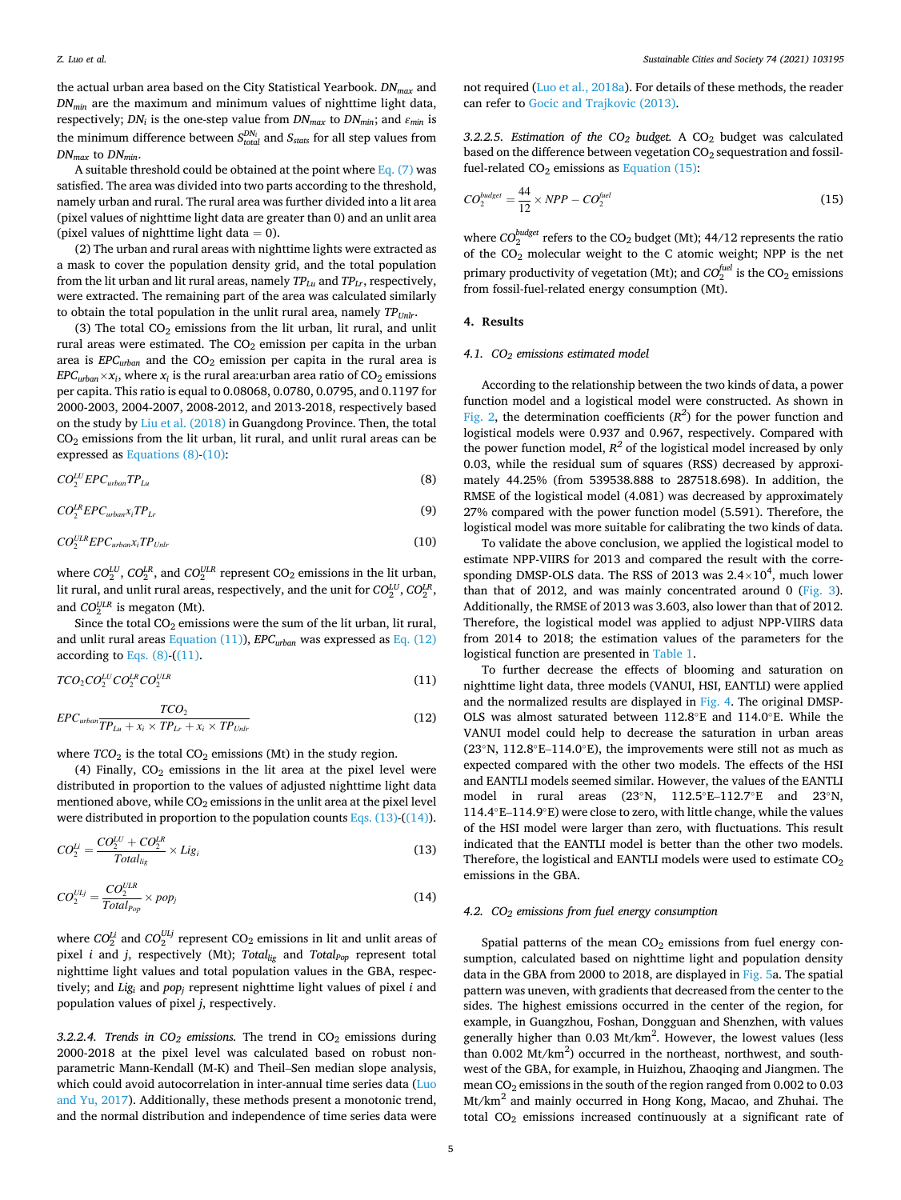<span id="page-4-0"></span>the actual urban area based on the City Statistical Yearbook. *DNmax* and *DNmin* are the maximum and minimum values of nighttime light data, respectively; *DNi* is the one-step value from *DNmax* to *DNmin*; and *εmin* is the minimum difference between  $S_{total}^{DN_i}$  and  $S_{stats}$  for all step values from *DNmax* to *DNmin*.

A suitable threshold could be obtained at the point where Eq.  $(7)$  was satisfied. The area was divided into two parts according to the threshold, namely urban and rural. The rural area was further divided into a lit area (pixel values of nighttime light data are greater than 0) and an unlit area (pixel values of nighttime light data  $= 0$ ).

(2) The urban and rural areas with nighttime lights were extracted as a mask to cover the population density grid, and the total population from the lit urban and lit rural areas, namely  $TP_{Lu}$  and  $TP_{Lv}$ , respectively, were extracted. The remaining part of the area was calculated similarly to obtain the total population in the unlit rural area, namely  $TP_{Unlr}$ .

(3) The total  $CO<sub>2</sub>$  emissions from the lit urban, lit rural, and unlit rural areas were estimated. The  $CO<sub>2</sub>$  emission per capita in the urban area is  $EPC_{urban}$  and the  $CO_2$  emission per capita in the rural area is  $EPC<sub>urban</sub> \times x_i$ , where  $x_i$  is the rural area:urban area ratio of  $CO_2$  emissions per capita. This ratio is equal to 0.08068, 0.0780, 0.0795, and 0.1197 for 2000-2003, 2004-2007, 2008-2012, and 2013-2018, respectively based on the study by [Liu et al. \(2018\)](#page-12-0) in Guangdong Province. Then, the total CO2 emissions from the lit urban, lit rural, and unlit rural areas can be expressed as Equations (8)-(10):

$$
CO_2^{LU} EPC_{urban} TP_{Lu} \tag{8}
$$

$$
CO_2^{LR} EPC_{urban} x_i TP_{Lr} \tag{9}
$$

$$
CO_2^{ULR} EPC_{urban} x_i T P_{Unl}
$$
 (10)

where  $CO_2^{LU}$ ,  $CO_2^{LR}$ , and  $CO_2^{ULR}$  represent  $CO_2$  emissions in the lit urban, lit rural, and unlit rural areas, respectively, and the unit for  $CO_2^{LU}$ ,  $CO_2^{LR}$ , and  $CO_2^{ULR}$  is megaton (Mt).

Since the total  $CO<sub>2</sub>$  emissions were the sum of the lit urban, lit rural, and unlit rural areas Equation (11)), *EPCurban* was expressed as Eq. (12) according to Eqs.  $(8)$ - $(11)$ .

$$
TCO_2CO_2^{LU}CO_2^{LR}CO_2^{ULR}
$$
\n
$$
(11)
$$

$$
EPC_{urban} \frac{TCO_2}{TP_{Lu} + x_i \times TP_{Lr} + x_i \times TP_{Unlr}}
$$
\n(12)

where  $TCO_2$  is the total  $CO_2$  emissions (Mt) in the study region.

(4) Finally,  $CO<sub>2</sub>$  emissions in the lit area at the pixel level were distributed in proportion to the values of adjusted nighttime light data mentioned above, while  $CO<sub>2</sub>$  emissions in the unlit area at the pixel level were distributed in proportion to the population counts Eqs.  $(13)-(14)$ .

$$
CO_2^{Li} = \frac{CO_2^{LU} + CO_2^{LR}}{Total_{lig}} \times Lig_i
$$
\n(13)

$$
CO_2^{ULj} = \frac{CO_2^{ULR}}{Total_{pop}} \times pop_j \tag{14}
$$

where  $CO_2^{Li}$  and  $CO_2^{ULj}$  represent  $CO_2$  emissions in lit and unlit areas of pixel *i* and *j*, respectively (Mt); *Total<sub>lig</sub>* and *Total<sub>Pop</sub>* represent total nighttime light values and total population values in the GBA, respectively; and *Ligi* and *popj* represent nighttime light values of pixel *i* and population values of pixel *j*, respectively.

3.2.2.4. Trends in  $CO<sub>2</sub>$  emissions. The trend in  $CO<sub>2</sub>$  emissions during 2000-2018 at the pixel level was calculated based on robust nonparametric Mann-Kendall (M-K) and Theil–Sen median slope analysis, which could avoid autocorrelation in inter-annual time series data ([Luo](#page-12-0)  [and Yu, 2017\)](#page-12-0). Additionally, these methods present a monotonic trend, and the normal distribution and independence of time series data were not required ([Luo et al., 2018a](#page-12-0)). For details of these methods, the reader can refer to [Gocic and Trajkovic \(2013\).](#page-12-0)

3.2.2.5. Estimation of the  $CO_2$  budget. A  $CO_2$  budget was calculated based on the difference between vegetation  $CO<sub>2</sub>$  sequestration and fossilfuel-related  $CO<sub>2</sub>$  emissions as Equation (15):

$$
CO_2^{budget} = \frac{44}{12} \times NPP - CO_2^{fuel}
$$
\n(15)

where  $CO_2^{budget}$  refers to the  $CO_2$  budget (Mt); 44/12 represents the ratio of the  $CO<sub>2</sub>$  molecular weight to the C atomic weight; NPP is the net primary productivity of vegetation (Mt); and  $CO_2^{fuel}$  is the  $CO_2$  emissions from fossil-fuel-related energy consumption (Mt).

#### **4. Results**

#### *4.1. CO2 emissions estimated model*

According to the relationship between the two kinds of data, a power function model and a logistical model were constructed. As shown in [Fig. 2](#page-5-0), the determination coefficients  $(R^2)$  for the power function and logistical models were 0.937 and 0.967, respectively. Compared with the power function model,  $R^2$  of the logistical model increased by only 0.03, while the residual sum of squares (RSS) decreased by approximately 44.25% (from 539538.888 to 287518.698). In addition, the RMSE of the logistical model (4.081) was decreased by approximately 27% compared with the power function model (5.591). Therefore, the logistical model was more suitable for calibrating the two kinds of data.

To validate the above conclusion, we applied the logistical model to estimate NPP-VIIRS for 2013 and compared the result with the corresponding DMSP-OLS data. The RSS of 2013 was  $2.4 \times 10^4$ , much lower than that of 2012, and was mainly concentrated around 0 ([Fig. 3](#page-5-0)). Additionally, the RMSE of 2013 was 3.603, also lower than that of 2012. Therefore, the logistical model was applied to adjust NPP-VIIRS data from 2014 to 2018; the estimation values of the parameters for the logistical function are presented in [Table 1](#page-5-0).

To further decrease the effects of blooming and saturation on nighttime light data, three models (VANUI, HSI, EANTLI) were applied and the normalized results are displayed in [Fig. 4](#page-6-0). The original DMSP-OLS was almost saturated between 112.8◦E and 114.0◦E. While the VANUI model could help to decrease the saturation in urban areas (23◦N, 112.8◦E–114.0◦E), the improvements were still not as much as expected compared with the other two models. The effects of the HSI and EANTLI models seemed similar. However, the values of the EANTLI model in rural areas (23◦N, 112.5◦E–112.7◦E and 23◦N, 114.4◦E–114.9◦E) were close to zero, with little change, while the values of the HSI model were larger than zero, with fluctuations. This result indicated that the EANTLI model is better than the other two models. Therefore, the logistical and EANTLI models were used to estimate  $CO<sub>2</sub>$ emissions in the GBA.

#### *4.2. CO2 emissions from fuel energy consumption*

Spatial patterns of the mean  $CO<sub>2</sub>$  emissions from fuel energy consumption, calculated based on nighttime light and population density data in the GBA from 2000 to 2018, are displayed in [Fig. 5a](#page-7-0). The spatial pattern was uneven, with gradients that decreased from the center to the sides. The highest emissions occurred in the center of the region, for example, in Guangzhou, Foshan, Dongguan and Shenzhen, with values generally higher than  $0.03 \text{ Mt/km}^2$ . However, the lowest values (less than  $0.002 \text{ Mt/km}^2$ ) occurred in the northeast, northwest, and southwest of the GBA, for example, in Huizhou, Zhaoqing and Jiangmen. The mean CO2 emissions in the south of the region ranged from 0.002 to 0.03 Mt/km2 and mainly occurred in Hong Kong, Macao, and Zhuhai. The total CO2 emissions increased continuously at a significant rate of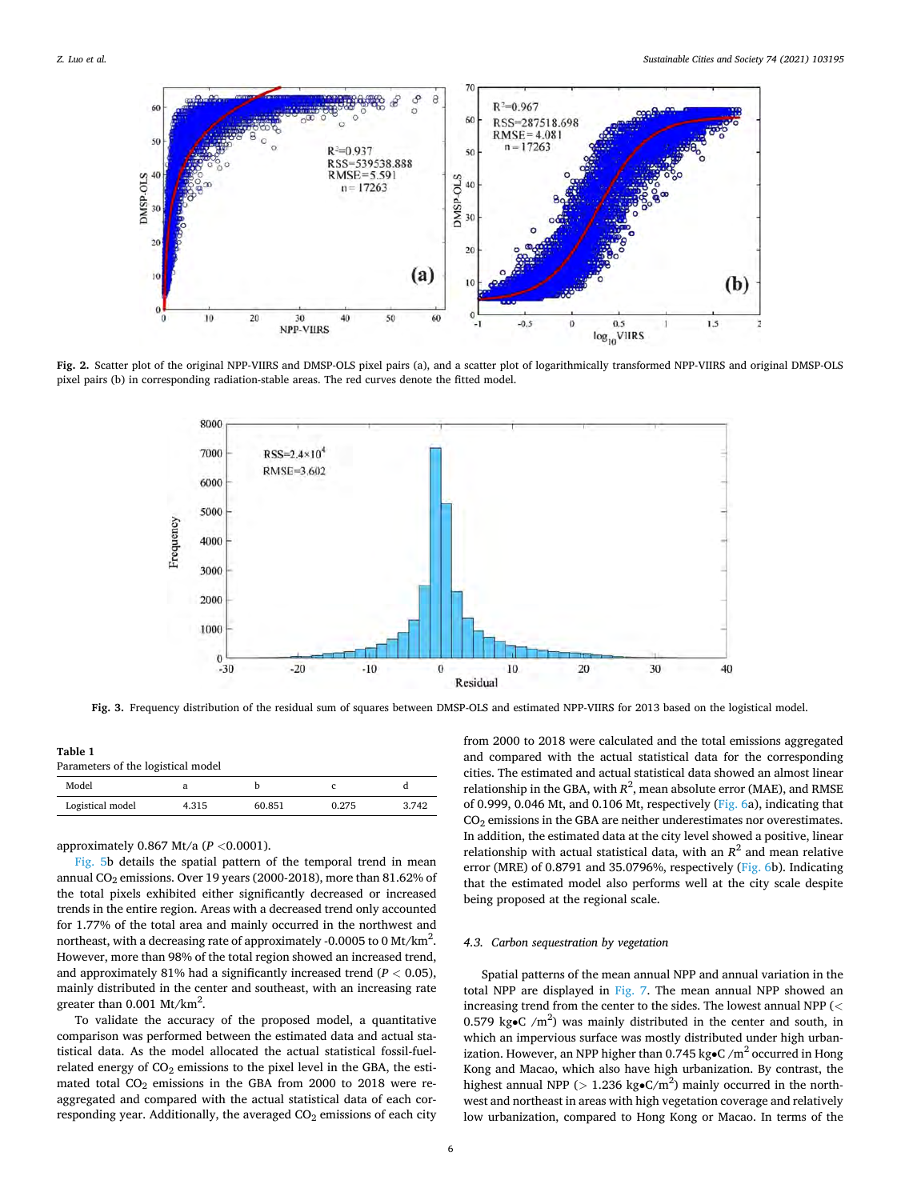<span id="page-5-0"></span>

**Fig. 2.** Scatter plot of the original NPP-VIIRS and DMSP-OLS pixel pairs (a), and a scatter plot of logarithmically transformed NPP-VIIRS and original DMSP-OLS pixel pairs (b) in corresponding radiation-stable areas. The red curves denote the fitted model.



**Fig. 3.** Frequency distribution of the residual sum of squares between DMSP-OLS and estimated NPP-VIIRS for 2013 based on the logistical model.

| Table 1<br>Parameters of the logistical model |       |        |       |       |
|-----------------------------------------------|-------|--------|-------|-------|
|                                               |       |        |       |       |
| Logistical model                              | 4.315 | 60.851 | 0.275 | 3.742 |

approximately 0.867 Mt/a (*P <*0.0001).

[Fig. 5b](#page-7-0) details the spatial pattern of the temporal trend in mean annual CO2 emissions. Over 19 years (2000-2018), more than 81.62% of the total pixels exhibited either significantly decreased or increased trends in the entire region. Areas with a decreased trend only accounted for 1.77% of the total area and mainly occurred in the northwest and northeast, with a decreasing rate of approximately -0.0005 to 0 Mt/km $^2\rm{.}$ However, more than 98% of the total region showed an increased trend, and approximately 81% had a significantly increased trend  $(P < 0.05)$ , mainly distributed in the center and southeast, with an increasing rate greater than  $0.001$  Mt/km<sup>2</sup>.

To validate the accuracy of the proposed model, a quantitative comparison was performed between the estimated data and actual statistical data. As the model allocated the actual statistical fossil-fuelrelated energy of  $CO<sub>2</sub>$  emissions to the pixel level in the GBA, the estimated total  $CO<sub>2</sub>$  emissions in the GBA from 2000 to 2018 were reaggregated and compared with the actual statistical data of each corresponding year. Additionally, the averaged  $CO<sub>2</sub>$  emissions of each city from 2000 to 2018 were calculated and the total emissions aggregated and compared with the actual statistical data for the corresponding cities. The estimated and actual statistical data showed an almost linear relationship in the GBA, with  $R^2$ , mean absolute error (MAE), and RMSE of 0.999, 0.046 Mt, and 0.106 Mt, respectively [\(Fig. 6a](#page-7-0)), indicating that CO2 emissions in the GBA are neither underestimates nor overestimates. In addition, the estimated data at the city level showed a positive, linear relationship with actual statistical data, with an  $R^2$  and mean relative error (MRE) of 0.8791 and 35.0796%, respectively [\(Fig. 6](#page-7-0)b). Indicating that the estimated model also performs well at the city scale despite being proposed at the regional scale.

#### *4.3. Carbon sequestration by vegetation*

Spatial patterns of the mean annual NPP and annual variation in the total NPP are displayed in [Fig. 7.](#page-8-0) The mean annual NPP showed an increasing trend from the center to the sides. The lowest annual NPP (*<* 0.579 kg $\epsilon$  /m<sup>2</sup>) was mainly distributed in the center and south, in which an impervious surface was mostly distributed under high urbanization. However, an NPP higher than 0.745 kg $\textdegree$ C /m<sup>2</sup> occurred in Hong Kong and Macao, which also have high urbanization. By contrast, the highest annual NPP ( $> 1.236 \text{ kg} \cdot \text{C/m}^2$ ) mainly occurred in the northwest and northeast in areas with high vegetation coverage and relatively low urbanization, compared to Hong Kong or Macao. In terms of the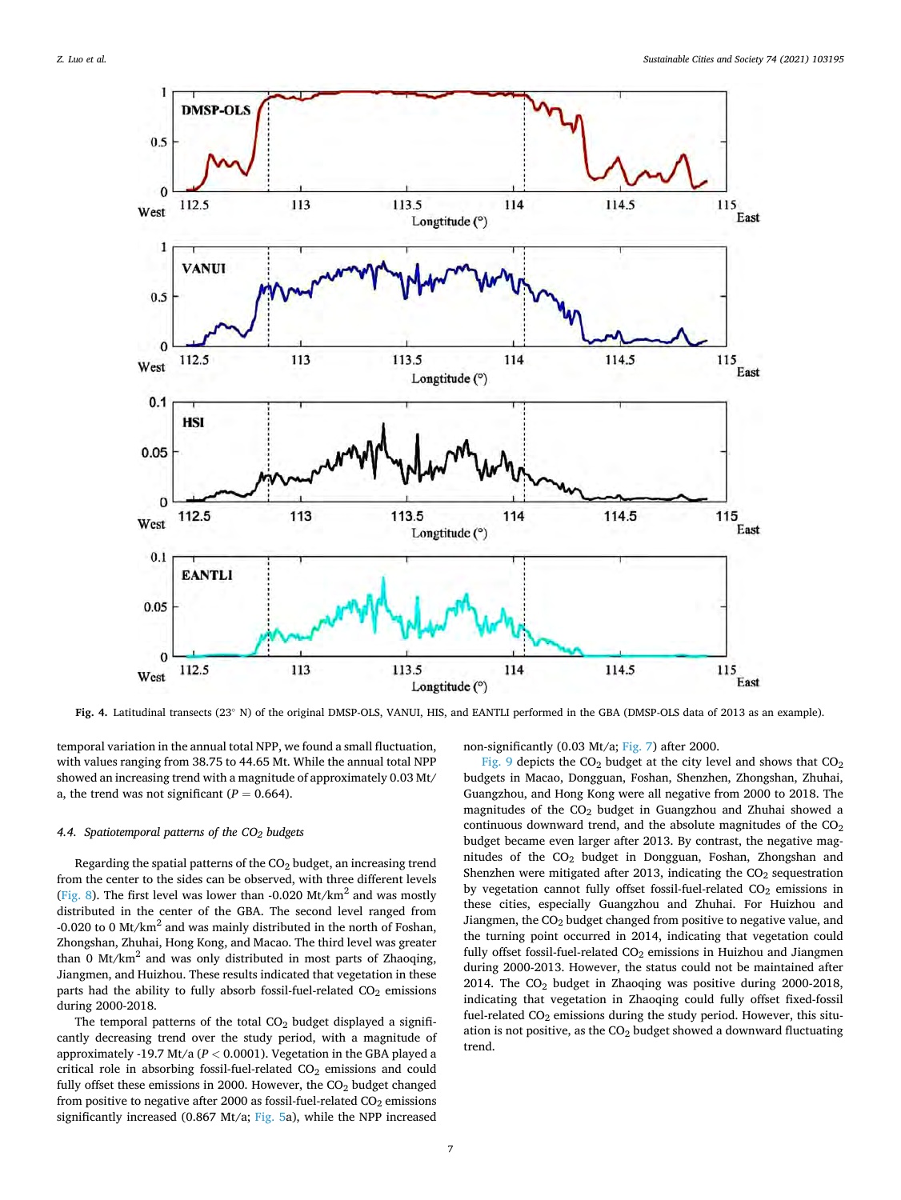<span id="page-6-0"></span>

**Fig. 4.** Latitudinal transects (23◦ N) of the original DMSP-OLS, VANUI, HIS, and EANTLI performed in the GBA (DMSP-OLS data of 2013 as an example).

temporal variation in the annual total NPP, we found a small fluctuation, with values ranging from 38.75 to 44.65 Mt. While the annual total NPP showed an increasing trend with a magnitude of approximately 0.03 Mt/ a, the trend was not significant ( $P = 0.664$ ).

#### 4.4. Spatiotemporal patterns of the CO<sub>2</sub> budgets

Regarding the spatial patterns of the  $CO<sub>2</sub>$  budget, an increasing trend from the center to the sides can be observed, with three different levels ([Fig. 8\)](#page-9-0). The first level was lower than -0.020 Mt/ $km^2$  and was mostly distributed in the center of the GBA. The second level ranged from -0.020 to 0 Mt/ $km^2$  and was mainly distributed in the north of Foshan, Zhongshan, Zhuhai, Hong Kong, and Macao. The third level was greater than 0 Mt/ $km<sup>2</sup>$  and was only distributed in most parts of Zhaoqing, Jiangmen, and Huizhou. These results indicated that vegetation in these parts had the ability to fully absorb fossil-fuel-related  $CO<sub>2</sub>$  emissions during 2000-2018.

The temporal patterns of the total  $CO<sub>2</sub>$  budget displayed a significantly decreasing trend over the study period, with a magnitude of approximately -19.7 Mt/a (*P <* 0.0001). Vegetation in the GBA played a critical role in absorbing fossil-fuel-related  $CO<sub>2</sub>$  emissions and could fully offset these emissions in 2000. However, the  $CO<sub>2</sub>$  budget changed from positive to negative after 2000 as fossil-fuel-related  $CO<sub>2</sub>$  emissions significantly increased (0.867 Mt/a; [Fig. 5](#page-7-0)a), while the NPP increased

non-significantly (0.03 Mt/a; [Fig. 7\)](#page-8-0) after 2000.

[Fig. 9](#page-10-0) depicts the  $CO<sub>2</sub>$  budget at the city level and shows that  $CO<sub>2</sub>$ budgets in Macao, Dongguan, Foshan, Shenzhen, Zhongshan, Zhuhai, Guangzhou, and Hong Kong were all negative from 2000 to 2018. The magnitudes of the  $CO<sub>2</sub>$  budget in Guangzhou and Zhuhai showed a continuous downward trend, and the absolute magnitudes of the  $CO<sub>2</sub>$ budget became even larger after 2013. By contrast, the negative magnitudes of the CO<sub>2</sub> budget in Dongguan, Foshan, Zhongshan and Shenzhen were mitigated after 2013, indicating the  $CO<sub>2</sub>$  sequestration by vegetation cannot fully offset fossil-fuel-related  $CO<sub>2</sub>$  emissions in these cities, especially Guangzhou and Zhuhai. For Huizhou and Jiangmen, the CO<sub>2</sub> budget changed from positive to negative value, and the turning point occurred in 2014, indicating that vegetation could fully offset fossil-fuel-related  $CO<sub>2</sub>$  emissions in Huizhou and Jiangmen during 2000-2013. However, the status could not be maintained after 2014. The  $CO<sub>2</sub>$  budget in Zhaoqing was positive during 2000-2018, indicating that vegetation in Zhaoqing could fully offset fixed-fossil fuel-related  $CO<sub>2</sub>$  emissions during the study period. However, this situation is not positive, as the  $CO<sub>2</sub>$  budget showed a downward fluctuating trend.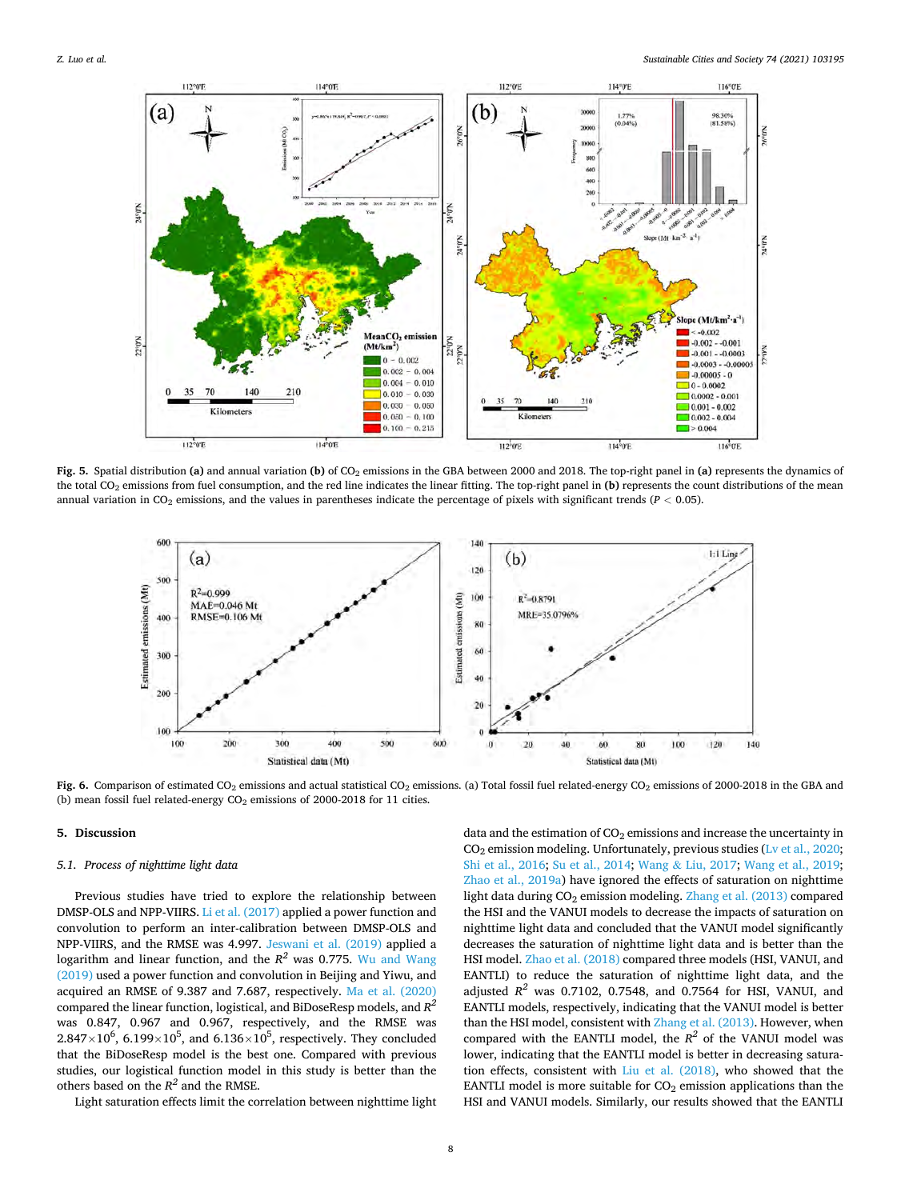<span id="page-7-0"></span>

**Fig. 5.** Spatial distribution **(a)** and annual variation **(b)** of CO2 emissions in the GBA between 2000 and 2018. The top-right panel in **(a)** represents the dynamics of the total CO2 emissions from fuel consumption, and the red line indicates the linear fitting. The top-right panel in **(b)** represents the count distributions of the mean annual variation in CO<sub>2</sub> emissions, and the values in parentheses indicate the percentage of pixels with significant trends ( $P < 0.05$ ).



Fig. 6. Comparison of estimated CO<sub>2</sub> emissions and actual statistical CO<sub>2</sub> emissions. (a) Total fossil fuel related-energy CO<sub>2</sub> emissions of 2000-2018 in the GBA and (b) mean fossil fuel related-energy  $CO<sub>2</sub>$  emissions of 2000-2018 for 11 cities.

#### **5. Discussion**

## *5.1. Process of nighttime light data*

Previous studies have tried to explore the relationship between DMSP-OLS and NPP-VIIRS. [Li et al. \(2017\)](#page-12-0) applied a power function and convolution to perform an inter-calibration between DMSP-OLS and NPP-VIIRS, and the RMSE was 4.997. [Jeswani et al. \(2019\)](#page-12-0) applied a logarithm and linear function, and the *R2* was 0.775. [Wu and Wang](#page-12-0)  [\(2019\)](#page-12-0) used a power function and convolution in Beijing and Yiwu, and acquired an RMSE of 9.387 and 7.687, respectively. [Ma et al. \(2020\)](#page-12-0)  compared the linear function, logistical, and BiDoseResp models, and *R2*  was 0.847, 0.967 and 0.967, respectively, and the RMSE was  $2.847\times10^6$ , 6.199 $\times10^5$ , and 6.136 $\times10^5$ , respectively. They concluded that the BiDoseResp model is the best one. Compared with previous studies, our logistical function model in this study is better than the others based on the  $R^2$  and the RMSE.

Light saturation effects limit the correlation between nighttime light

data and the estimation of  $CO<sub>2</sub>$  emissions and increase the uncertainty in CO2 emission modeling. Unfortunately, previous studies [\(Lv et al., 2020](#page-12-0); [Shi et al., 2016;](#page-12-0) [Su et al., 2014](#page-12-0); Wang & [Liu, 2017](#page-12-0); [Wang et al., 2019](#page-12-0); [Zhao et al., 2019a](#page-12-0)) have ignored the effects of saturation on nighttime light data during  $CO<sub>2</sub>$  emission modeling. [Zhang et al. \(2013\)](#page-12-0) compared the HSI and the VANUI models to decrease the impacts of saturation on nighttime light data and concluded that the VANUI model significantly decreases the saturation of nighttime light data and is better than the HSI model. [Zhao et al. \(2018\)](#page-12-0) compared three models (HSI, VANUI, and EANTLI) to reduce the saturation of nighttime light data, and the adjusted  $R^2$  was 0.7102, 0.7548, and 0.7564 for HSI, VANUI, and EANTLI models, respectively, indicating that the VANUI model is better than the HSI model, consistent with [Zhang et al. \(2013\).](#page-12-0) However, when compared with the EANTLI model, the  $R^2$  of the VANUI model was lower, indicating that the EANTLI model is better in decreasing saturation effects, consistent with [Liu et al. \(2018\)](#page-12-0), who showed that the EANTLI model is more suitable for  $CO<sub>2</sub>$  emission applications than the HSI and VANUI models. Similarly, our results showed that the EANTLI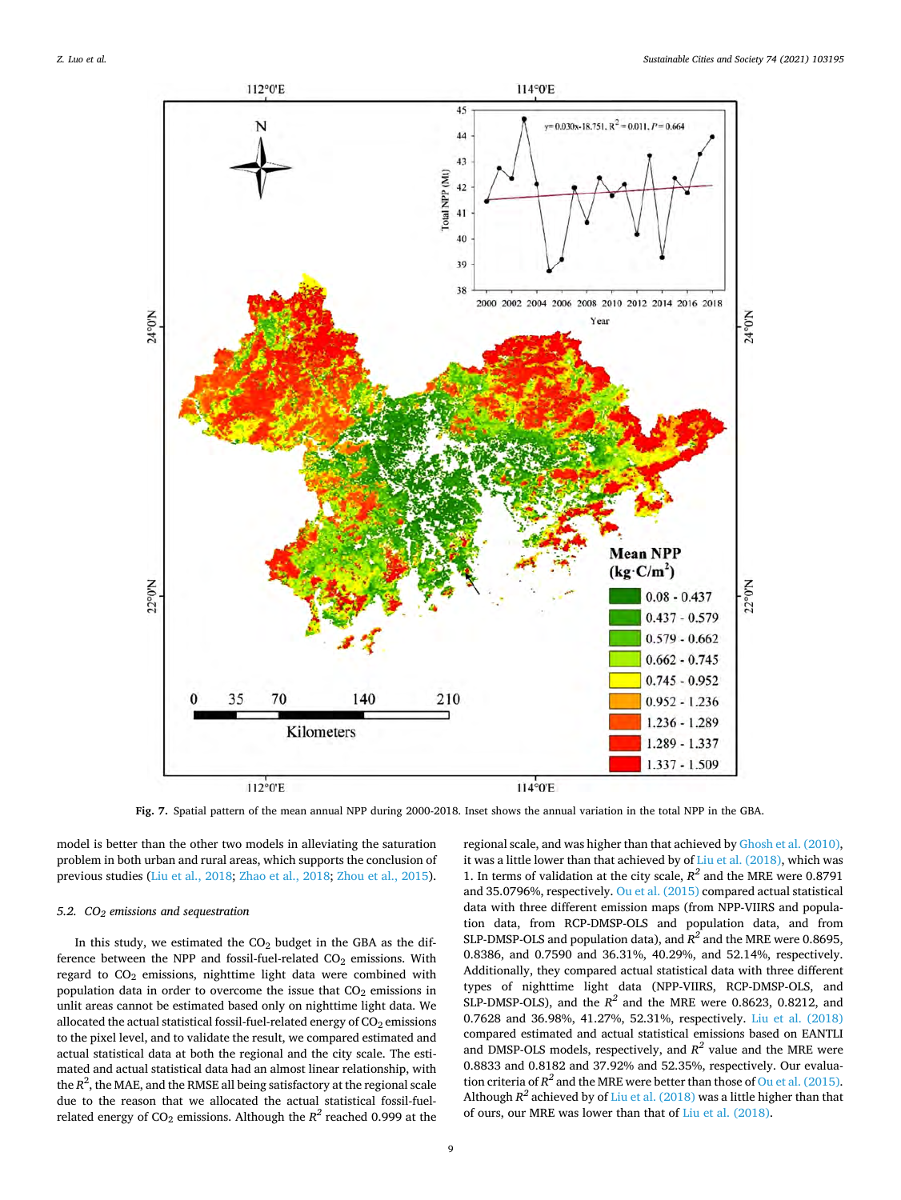<span id="page-8-0"></span>

**Fig. 7.** Spatial pattern of the mean annual NPP during 2000-2018. Inset shows the annual variation in the total NPP in the GBA.

model is better than the other two models in alleviating the saturation problem in both urban and rural areas, which supports the conclusion of previous studies ([Liu et al., 2018; Zhao et al., 2018](#page-12-0); [Zhou et al., 2015](#page-13-0)).

#### *5.2. CO2 emissions and sequestration*

In this study, we estimated the  $CO<sub>2</sub>$  budget in the GBA as the difference between the NPP and fossil-fuel-related CO<sub>2</sub> emissions. With regard to  $CO<sub>2</sub>$  emissions, nighttime light data were combined with population data in order to overcome the issue that  $CO<sub>2</sub>$  emissions in unlit areas cannot be estimated based only on nighttime light data. We allocated the actual statistical fossil-fuel-related energy of  $CO<sub>2</sub>$  emissions to the pixel level, and to validate the result, we compared estimated and actual statistical data at both the regional and the city scale. The estimated and actual statistical data had an almost linear relationship, with the  $R^2$ , the MAE, and the RMSE all being satisfactory at the regional scale due to the reason that we allocated the actual statistical fossil-fuelrelated energy of  $CO_2$  emissions. Although the  $R^2$  reached 0.999 at the

regional scale, and was higher than that achieved by [Ghosh et al. \(2010\)](#page-12-0), it was a little lower than that achieved by of [Liu et al. \(2018\),](#page-12-0) which was 1. In terms of validation at the city scale,  $R^2$  and the MRE were 0.8791 and 35.0796%, respectively. [Ou et al. \(2015\)](#page-12-0) compared actual statistical data with three different emission maps (from NPP-VIIRS and population data, from RCP-DMSP-OLS and population data, and from SLP-DMSP-OLS and population data), and *R2* and the MRE were 0.8695, 0.8386, and 0.7590 and 36.31%, 40.29%, and 52.14%, respectively. Additionally, they compared actual statistical data with three different types of nighttime light data (NPP-VIIRS, RCP-DMSP-OLS, and SLP-DMSP-OLS), and the  $R^2$  and the MRE were 0.8623, 0.8212, and 0.7628 and 36.98%, 41.27%, 52.31%, respectively. [Liu et al. \(2018\)](#page-12-0)  compared estimated and actual statistical emissions based on EANTLI and DMSP-OLS models, respectively, and  $R^2$  value and the MRE were 0.8833 and 0.8182 and 37.92% and 52.35%, respectively. Our evaluation criteria of  $R^2$  and the MRE were better than those of [Ou et al. \(2015\)](#page-12-0). Although *R2* achieved by of [Liu et al. \(2018\)](#page-12-0) was a little higher than that of ours, our MRE was lower than that of [Liu et al. \(2018\)](#page-12-0).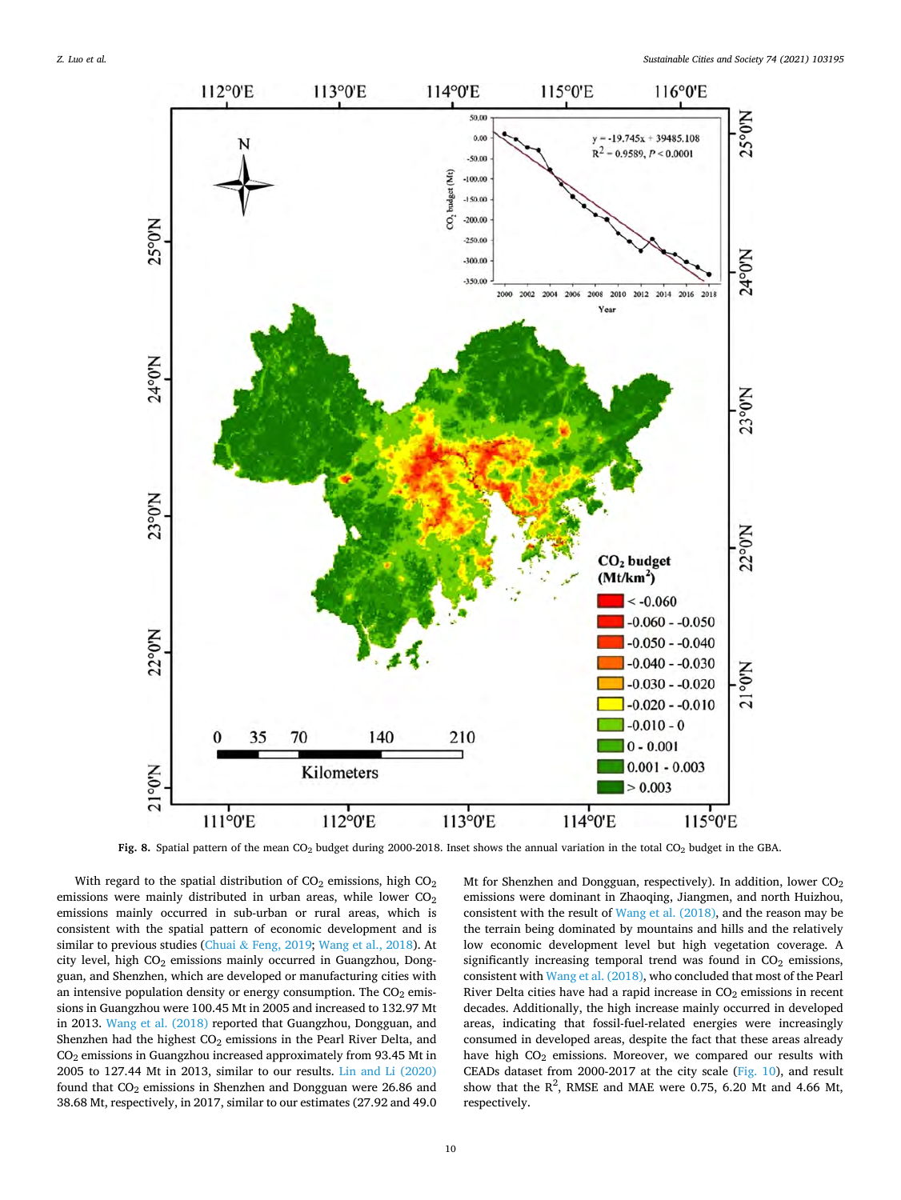<span id="page-9-0"></span>

Fig. 8. Spatial pattern of the mean CO<sub>2</sub> budget during 2000-2018. Inset shows the annual variation in the total CO<sub>2</sub> budget in the GBA.

With regard to the spatial distribution of  $CO<sub>2</sub>$  emissions, high  $CO<sub>2</sub>$ emissions were mainly distributed in urban areas, while lower  $CO<sub>2</sub>$ emissions mainly occurred in sub-urban or rural areas, which is consistent with the spatial pattern of economic development and is similar to previous studies (Chuai & [Feng, 2019](#page-12-0); [Wang et al., 2018](#page-12-0)). At city level, high CO<sub>2</sub> emissions mainly occurred in Guangzhou, Dongguan, and Shenzhen, which are developed or manufacturing cities with an intensive population density or energy consumption. The  $CO<sub>2</sub>$  emissions in Guangzhou were 100.45 Mt in 2005 and increased to 132.97 Mt in 2013. [Wang et al. \(2018\)](#page-12-0) reported that Guangzhou, Dongguan, and Shenzhen had the highest  $CO<sub>2</sub>$  emissions in the Pearl River Delta, and CO2 emissions in Guangzhou increased approximately from 93.45 Mt in 2005 to 127.44 Mt in 2013, similar to our results. [Lin and Li \(2020\)](#page-12-0)  found that  $CO<sub>2</sub>$  emissions in Shenzhen and Dongguan were 26.86 and 38.68 Mt, respectively, in 2017, similar to our estimates (27.92 and 49.0 Mt for Shenzhen and Dongguan, respectively). In addition, lower CO<sub>2</sub> emissions were dominant in Zhaoqing, Jiangmen, and north Huizhou, consistent with the result of [Wang et al. \(2018\)](#page-12-0), and the reason may be the terrain being dominated by mountains and hills and the relatively low economic development level but high vegetation coverage. A significantly increasing temporal trend was found in  $CO<sub>2</sub>$  emissions, consistent with [Wang et al. \(2018\)](#page-12-0), who concluded that most of the Pearl River Delta cities have had a rapid increase in  $CO<sub>2</sub>$  emissions in recent decades. Additionally, the high increase mainly occurred in developed areas, indicating that fossil-fuel-related energies were increasingly consumed in developed areas, despite the fact that these areas already have high  $CO<sub>2</sub>$  emissions. Moreover, we compared our results with CEADs dataset from 2000-2017 at the city scale ([Fig. 10](#page-10-0)), and result show that the  $R^2$ , RMSE and MAE were 0.75, 6.20 Mt and 4.66 Mt, respectively.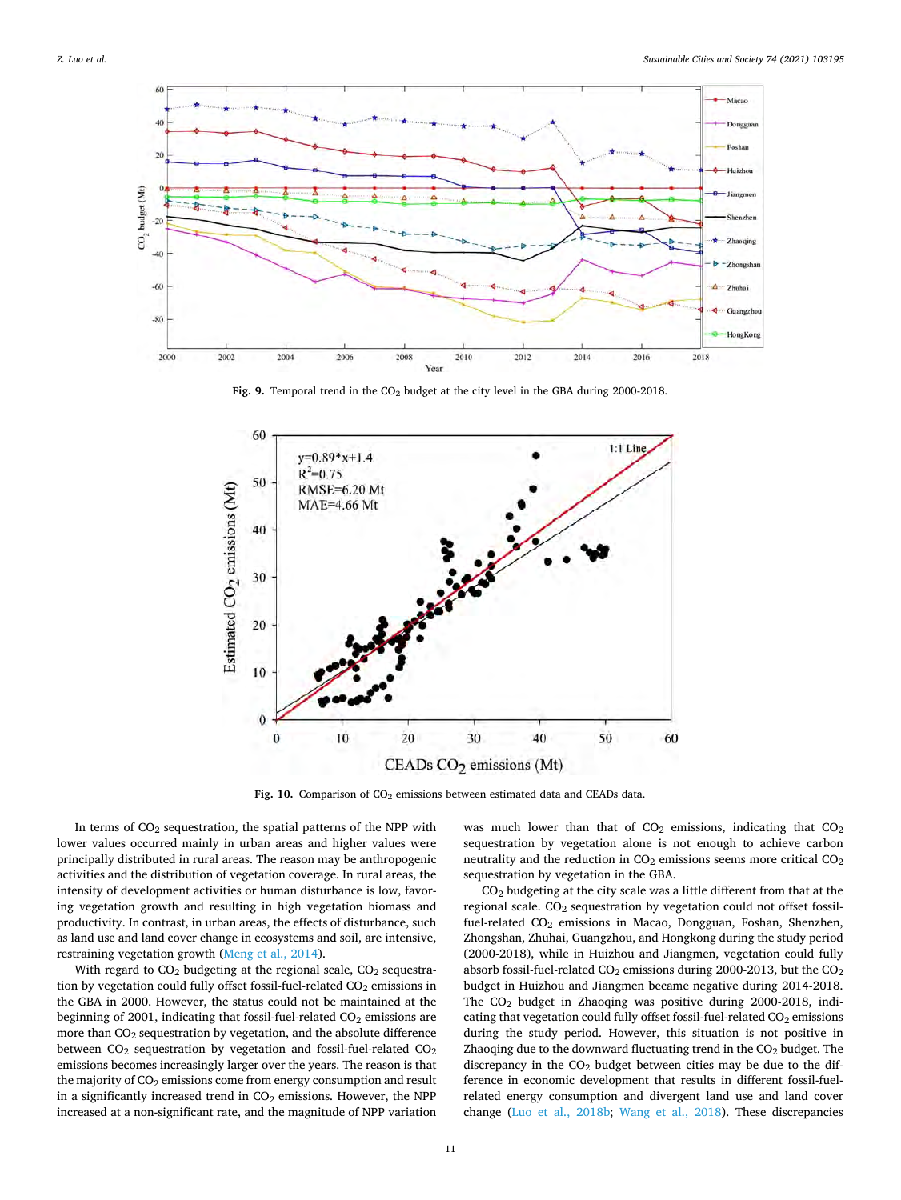<span id="page-10-0"></span>

Fig. 9. Temporal trend in the CO<sub>2</sub> budget at the city level in the GBA during 2000-2018.



Fig. 10. Comparison of CO<sub>2</sub> emissions between estimated data and CEADs data.

In terms of  $CO<sub>2</sub>$  sequestration, the spatial patterns of the NPP with lower values occurred mainly in urban areas and higher values were principally distributed in rural areas. The reason may be anthropogenic activities and the distribution of vegetation coverage. In rural areas, the intensity of development activities or human disturbance is low, favoring vegetation growth and resulting in high vegetation biomass and productivity. In contrast, in urban areas, the effects of disturbance, such as land use and land cover change in ecosystems and soil, are intensive, restraining vegetation growth [\(Meng et al., 2014](#page-12-0)).

With regard to  $CO<sub>2</sub>$  budgeting at the regional scale,  $CO<sub>2</sub>$  sequestration by vegetation could fully offset fossil-fuel-related  $CO<sub>2</sub>$  emissions in the GBA in 2000. However, the status could not be maintained at the beginning of 2001, indicating that fossil-fuel-related  $CO<sub>2</sub>$  emissions are more than CO2 sequestration by vegetation, and the absolute difference between  $CO<sub>2</sub>$  sequestration by vegetation and fossil-fuel-related  $CO<sub>2</sub>$ emissions becomes increasingly larger over the years. The reason is that the majority of  $CO<sub>2</sub>$  emissions come from energy consumption and result in a significantly increased trend in  $CO<sub>2</sub>$  emissions. However, the NPP increased at a non-significant rate, and the magnitude of NPP variation

was much lower than that of  $CO<sub>2</sub>$  emissions, indicating that  $CO<sub>2</sub>$ sequestration by vegetation alone is not enough to achieve carbon neutrality and the reduction in  $CO<sub>2</sub>$  emissions seems more critical  $CO<sub>2</sub>$ sequestration by vegetation in the GBA.

CO2 budgeting at the city scale was a little different from that at the regional scale. CO<sub>2</sub> sequestration by vegetation could not offset fossilfuel-related  $CO<sub>2</sub>$  emissions in Macao, Dongguan, Foshan, Shenzhen, Zhongshan, Zhuhai, Guangzhou, and Hongkong during the study period (2000-2018), while in Huizhou and Jiangmen, vegetation could fully absorb fossil-fuel-related  $CO_2$  emissions during 2000-2013, but the  $CO_2$ budget in Huizhou and Jiangmen became negative during 2014-2018. The  $CO<sub>2</sub>$  budget in Zhaoqing was positive during 2000-2018, indicating that vegetation could fully offset fossil-fuel-related  $CO<sub>2</sub>$  emissions during the study period. However, this situation is not positive in Zhaoqing due to the downward fluctuating trend in the  $CO<sub>2</sub>$  budget. The discrepancy in the  $CO<sub>2</sub>$  budget between cities may be due to the difference in economic development that results in different fossil-fuelrelated energy consumption and divergent land use and land cover change ([Luo et al., 2018b](#page-12-0); [Wang et al., 2018](#page-12-0)). These discrepancies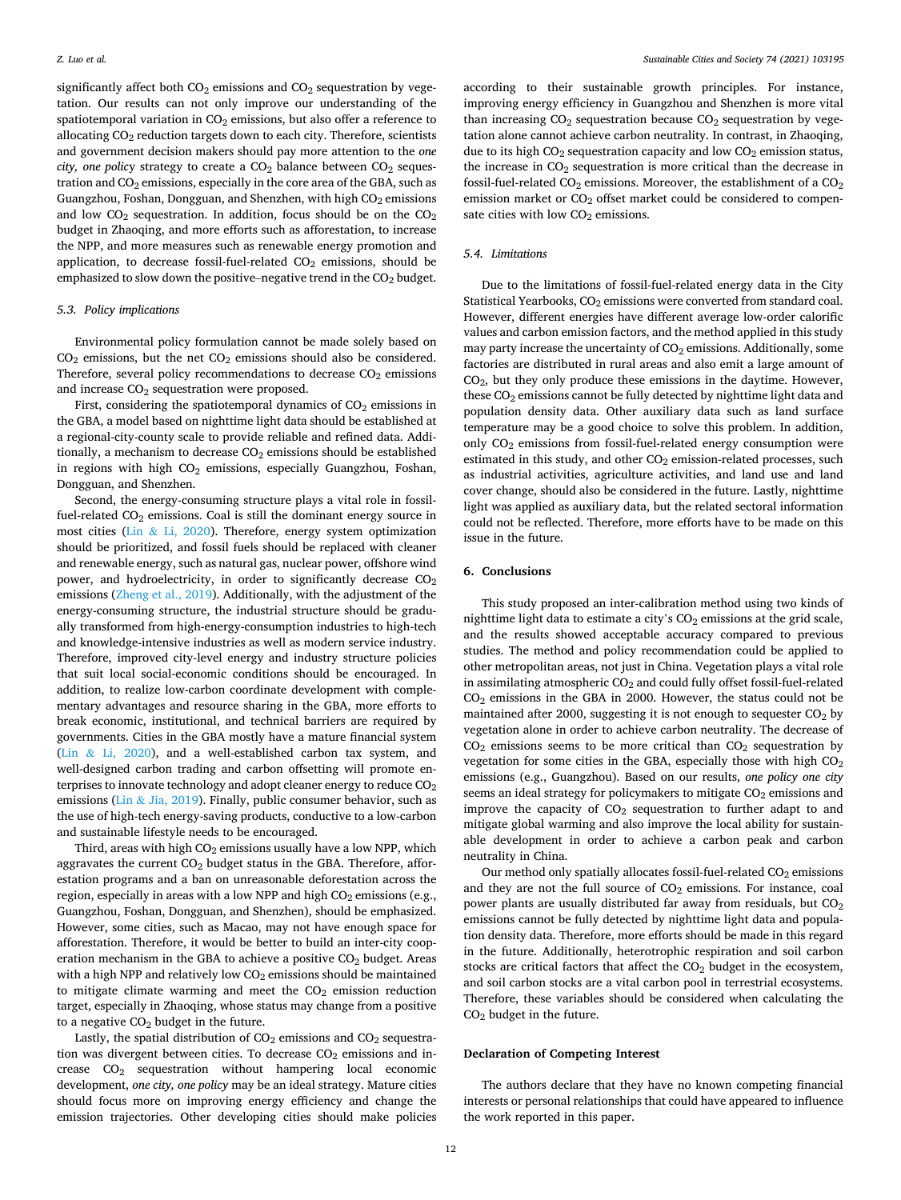<span id="page-11-0"></span>significantly affect both  $CO<sub>2</sub>$  emissions and  $CO<sub>2</sub>$  sequestration by vegetation. Our results can not only improve our understanding of the spatiotemporal variation in  $CO<sub>2</sub>$  emissions, but also offer a reference to allocating  $CO<sub>2</sub>$  reduction targets down to each city. Therefore, scientists and government decision makers should pay more attention to the *one city, one policy strategy to create a CO<sub>2</sub> balance between CO<sub>2</sub> seques*tration and  $CO<sub>2</sub>$  emissions, especially in the core area of the GBA, such as Guangzhou, Foshan, Dongguan, and Shenzhen, with high  $CO<sub>2</sub>$  emissions and low  $CO<sub>2</sub>$  sequestration. In addition, focus should be on the  $CO<sub>2</sub>$ budget in Zhaoqing, and more efforts such as afforestation, to increase the NPP, and more measures such as renewable energy promotion and application, to decrease fossil-fuel-related  $CO<sub>2</sub>$  emissions, should be emphasized to slow down the positive–negative trend in the  $CO<sub>2</sub>$  budget.

#### *5.3. Policy implications*

Environmental policy formulation cannot be made solely based on  $CO<sub>2</sub>$  emissions, but the net  $CO<sub>2</sub>$  emissions should also be considered. Therefore, several policy recommendations to decrease  $CO<sub>2</sub>$  emissions and increase  $CO<sub>2</sub>$  sequestration were proposed.

First, considering the spatiotemporal dynamics of  $CO<sub>2</sub>$  emissions in the GBA, a model based on nighttime light data should be established at a regional-city-county scale to provide reliable and refined data. Additionally, a mechanism to decrease  $CO<sub>2</sub>$  emissions should be established in regions with high CO<sub>2</sub> emissions, especially Guangzhou, Foshan, Dongguan, and Shenzhen.

Second, the energy-consuming structure plays a vital role in fossilfuel-related  $CO<sub>2</sub>$  emissions. Coal is still the dominant energy source in most cities (Lin  $&$  [Li, 2020](#page-12-0)). Therefore, energy system optimization should be prioritized, and fossil fuels should be replaced with cleaner and renewable energy, such as natural gas, nuclear power, offshore wind power, and hydroelectricity, in order to significantly decrease CO<sub>2</sub> emissions ([Zheng et al., 2019](#page-12-0)). Additionally, with the adjustment of the energy-consuming structure, the industrial structure should be gradually transformed from high-energy-consumption industries to high-tech and knowledge-intensive industries as well as modern service industry. Therefore, improved city-level energy and industry structure policies that suit local social-economic conditions should be encouraged. In addition, to realize low-carbon coordinate development with complementary advantages and resource sharing in the GBA, more efforts to break economic, institutional, and technical barriers are required by governments. Cities in the GBA mostly have a mature financial system (Lin & [Li, 2020\)](#page-12-0), and a well-established carbon tax system, and well-designed carbon trading and carbon offsetting will promote enterprises to innovate technology and adopt cleaner energy to reduce CO<sub>2</sub> emissions (Lin & [Jia, 2019](#page-12-0)). Finally, public consumer behavior, such as the use of high-tech energy-saving products, conductive to a low-carbon and sustainable lifestyle needs to be encouraged.

Third, areas with high  $CO<sub>2</sub>$  emissions usually have a low NPP, which aggravates the current  $CO<sub>2</sub>$  budget status in the GBA. Therefore, afforestation programs and a ban on unreasonable deforestation across the region, especially in areas with a low NPP and high  $CO<sub>2</sub>$  emissions (e.g., Guangzhou, Foshan, Dongguan, and Shenzhen), should be emphasized. However, some cities, such as Macao, may not have enough space for afforestation. Therefore, it would be better to build an inter-city cooperation mechanism in the GBA to achieve a positive  $CO<sub>2</sub>$  budget. Areas with a high NPP and relatively low  $CO<sub>2</sub>$  emissions should be maintained to mitigate climate warming and meet the  $CO<sub>2</sub>$  emission reduction target, especially in Zhaoqing, whose status may change from a positive to a negative  $CO<sub>2</sub>$  budget in the future.

Lastly, the spatial distribution of  $CO<sub>2</sub>$  emissions and  $CO<sub>2</sub>$  sequestration was divergent between cities. To decrease  $CO<sub>2</sub>$  emissions and increase CO2 sequestration without hampering local economic development, *one city, one policy* may be an ideal strategy. Mature cities should focus more on improving energy efficiency and change the emission trajectories. Other developing cities should make policies

according to their sustainable growth principles. For instance, improving energy efficiency in Guangzhou and Shenzhen is more vital than increasing  $CO<sub>2</sub>$  sequestration because  $CO<sub>2</sub>$  sequestration by vegetation alone cannot achieve carbon neutrality. In contrast, in Zhaoqing, due to its high  $CO<sub>2</sub>$  sequestration capacity and low  $CO<sub>2</sub>$  emission status, the increase in  $CO<sub>2</sub>$  sequestration is more critical than the decrease in fossil-fuel-related  $CO_2$  emissions. Moreover, the establishment of a  $CO_2$ emission market or CO<sub>2</sub> offset market could be considered to compensate cities with low  $CO<sub>2</sub>$  emissions.

### *5.4. Limitations*

Due to the limitations of fossil-fuel-related energy data in the City Statistical Yearbooks, CO<sub>2</sub> emissions were converted from standard coal. However, different energies have different average low-order calorific values and carbon emission factors, and the method applied in this study may party increase the uncertainty of  $CO<sub>2</sub>$  emissions. Additionally, some factories are distributed in rural areas and also emit a large amount of  $CO<sub>2</sub>$ , but they only produce these emissions in the daytime. However, these CO<sub>2</sub> emissions cannot be fully detected by nighttime light data and population density data. Other auxiliary data such as land surface temperature may be a good choice to solve this problem. In addition, only CO<sub>2</sub> emissions from fossil-fuel-related energy consumption were estimated in this study, and other  $CO<sub>2</sub>$  emission-related processes, such as industrial activities, agriculture activities, and land use and land cover change, should also be considered in the future. Lastly, nighttime light was applied as auxiliary data, but the related sectoral information could not be reflected. Therefore, more efforts have to be made on this issue in the future.

#### **6. Conclusions**

This study proposed an inter-calibration method using two kinds of nighttime light data to estimate a city's  $CO<sub>2</sub>$  emissions at the grid scale, and the results showed acceptable accuracy compared to previous studies. The method and policy recommendation could be applied to other metropolitan areas, not just in China. Vegetation plays a vital role in assimilating atmospheric  $CO<sub>2</sub>$  and could fully offset fossil-fuel-related CO2 emissions in the GBA in 2000. However, the status could not be maintained after 2000, suggesting it is not enough to sequester  $CO<sub>2</sub>$  by vegetation alone in order to achieve carbon neutrality. The decrease of  $CO<sub>2</sub>$  emissions seems to be more critical than  $CO<sub>2</sub>$  sequestration by vegetation for some cities in the GBA, especially those with high  $CO<sub>2</sub>$ emissions (e.g., Guangzhou). Based on our results, *one policy one city*  seems an ideal strategy for policymakers to mitigate  $CO<sub>2</sub>$  emissions and improve the capacity of  $CO<sub>2</sub>$  sequestration to further adapt to and mitigate global warming and also improve the local ability for sustainable development in order to achieve a carbon peak and carbon neutrality in China.

Our method only spatially allocates fossil-fuel-related  $CO<sub>2</sub>$  emissions and they are not the full source of  $CO<sub>2</sub>$  emissions. For instance, coal power plants are usually distributed far away from residuals, but  $CO<sub>2</sub>$ emissions cannot be fully detected by nighttime light data and population density data. Therefore, more efforts should be made in this regard in the future. Additionally, heterotrophic respiration and soil carbon stocks are critical factors that affect the  $CO<sub>2</sub>$  budget in the ecosystem, and soil carbon stocks are a vital carbon pool in terrestrial ecosystems. Therefore, these variables should be considered when calculating the  $CO<sub>2</sub>$  budget in the future.

#### **Declaration of Competing Interest**

The authors declare that they have no known competing financial interests or personal relationships that could have appeared to influence the work reported in this paper.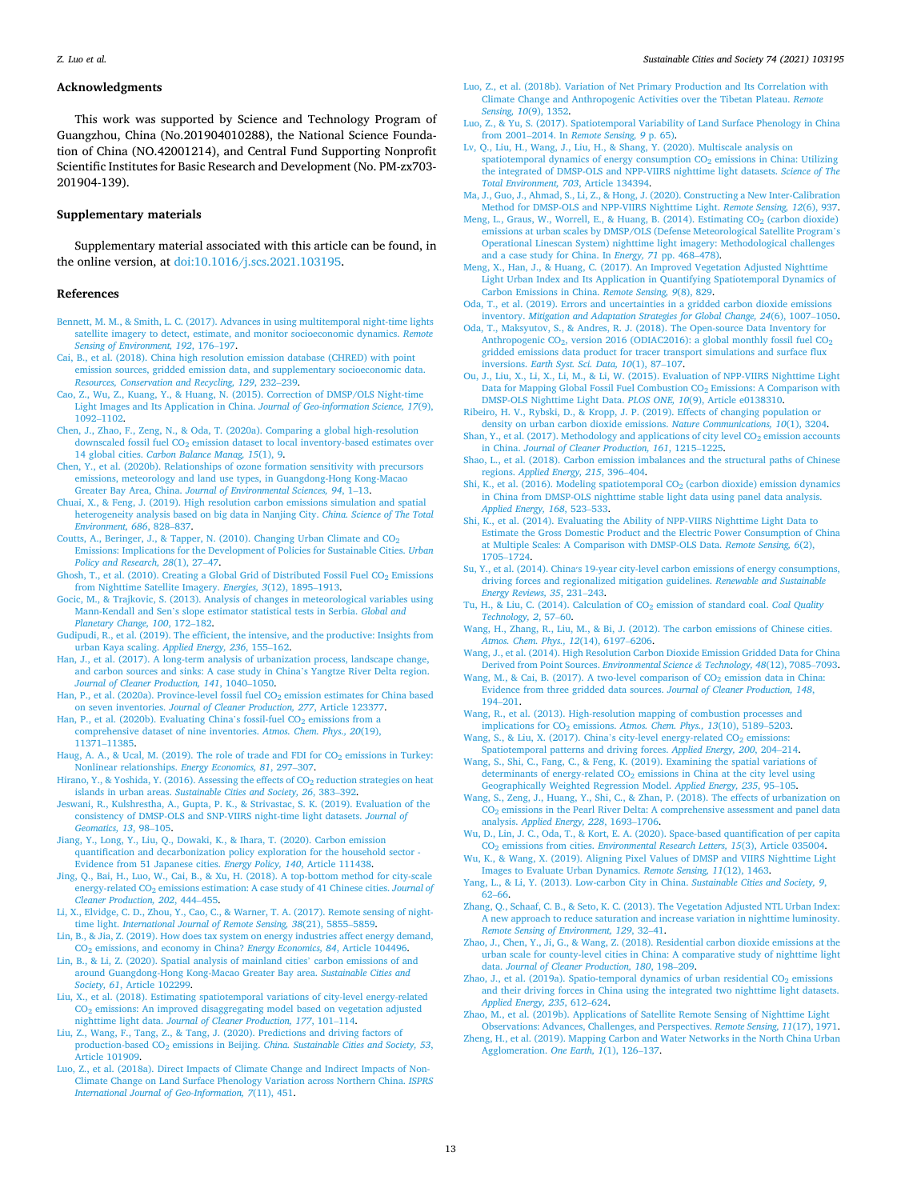#### <span id="page-12-0"></span>**Acknowledgments**

This work was supported by Science and Technology Program of Guangzhou, China (No.201904010288), the National Science Foundation of China (NO.42001214), and Central Fund Supporting Nonprofit Scientific Institutes for Basic Research and Development (No. PM-zx703- 201904-139).

#### **Supplementary materials**

Supplementary material associated with this article can be found, in the online version, at [doi:10.1016/j.scs.2021.103195.](https://doi.org/10.1016/j.scs.2021.103195)

#### **References**

- [Bennett, M. M., & Smith, L. C. \(2017\). Advances in using multitemporal night-time lights](http://refhub.elsevier.com/S2210-6707(21)00473-X/sbref0001)  [satellite imagery to detect, estimate, and monitor socioeconomic dynamics.](http://refhub.elsevier.com/S2210-6707(21)00473-X/sbref0001) Ren *[Sensing of Environment, 192](http://refhub.elsevier.com/S2210-6707(21)00473-X/sbref0001)*, 176–197.
- [Cai, B., et al. \(2018\). China high resolution emission database \(CHRED\) with point](http://refhub.elsevier.com/S2210-6707(21)00473-X/sbref0002)  [emission sources, gridded emission data, and supplementary socioeconomic data.](http://refhub.elsevier.com/S2210-6707(21)00473-X/sbref0002)  *[Resources, Conservation and Recycling, 129](http://refhub.elsevier.com/S2210-6707(21)00473-X/sbref0002)*, 232–239.
- [Cao, Z., Wu, Z., Kuang, Y., & Huang, N. \(2015\). Correction of DMSP/OLS Night-time](http://refhub.elsevier.com/S2210-6707(21)00473-X/sbref0003) [Light Images and Its Application in China.](http://refhub.elsevier.com/S2210-6707(21)00473-X/sbref0003) *Journal of Geo-information Science, 17*(9), [1092](http://refhub.elsevier.com/S2210-6707(21)00473-X/sbref0003)–1102.
- [Chen, J., Zhao, F., Zeng, N., & Oda, T. \(2020a\). Comparing a global high-resolution](http://refhub.elsevier.com/S2210-6707(21)00473-X/sbref0004)  downscaled fossil fuel CO<sub>2</sub> emission dataset to local inventory-based estimates over 14 global cities. *[Carbon Balance Manag, 15](http://refhub.elsevier.com/S2210-6707(21)00473-X/sbref0004)*(1), 9.
- [Chen, Y., et al. \(2020b\). Relationships of ozone formation sensitivity with precursors](http://refhub.elsevier.com/S2210-6707(21)00473-X/sbref0005) [emissions, meteorology and land use types, in Guangdong-Hong Kong-Macao](http://refhub.elsevier.com/S2210-6707(21)00473-X/sbref0005)  Greater Bay Area, China. *[Journal of Environmental Sciences, 94](http://refhub.elsevier.com/S2210-6707(21)00473-X/sbref0005)*, 1–13.
- [Chuai, X., & Feng, J. \(2019\). High resolution carbon emissions simulation and spatial](http://refhub.elsevier.com/S2210-6707(21)00473-X/sbref0006)  [heterogeneity analysis based on big data in Nanjing City.](http://refhub.elsevier.com/S2210-6707(21)00473-X/sbref0006) *China. Science of The Total [Environment, 686](http://refhub.elsevier.com/S2210-6707(21)00473-X/sbref0006)*, 828–837.
- [Coutts, A., Beringer, J., & Tapper, N. \(2010\). Changing Urban Climate and CO2](http://refhub.elsevier.com/S2210-6707(21)00473-X/sbref0007) [Emissions: Implications for the Development of Policies for Sustainable Cities.](http://refhub.elsevier.com/S2210-6707(21)00473-X/sbref0007) *Urban [Policy and Research, 28](http://refhub.elsevier.com/S2210-6707(21)00473-X/sbref0007)*(1), 27–47.
- Ghosh, T., et al. (2010). Creating a Global Grid of Distributed Fossil Fuel CO<sub>2</sub> Emissions [from Nighttime Satellite Imagery.](http://refhub.elsevier.com/S2210-6707(21)00473-X/sbref0008) *Energies, 3*(12), 1895–1913.
- [Gocic, M., & Trajkovic, S. \(2013\). Analysis of changes in meteorological variables using](http://refhub.elsevier.com/S2210-6707(21)00473-X/sbref0009)  Mann-Kendall and Sen'[s slope estimator statistical tests in Serbia.](http://refhub.elsevier.com/S2210-6707(21)00473-X/sbref0009) *Global and [Planetary Change, 100](http://refhub.elsevier.com/S2210-6707(21)00473-X/sbref0009)*, 172–182.
- [Gudipudi, R., et al. \(2019\). The efficient, the intensive, and the productive: Insights from](http://refhub.elsevier.com/S2210-6707(21)00473-X/sbref0010)  [urban Kaya scaling.](http://refhub.elsevier.com/S2210-6707(21)00473-X/sbref0010) *Applied Energy, 236*, 155–162.
- [Han, J., et al. \(2017\). A long-term analysis of urbanization process, landscape change,](http://refhub.elsevier.com/S2210-6707(21)00473-X/sbref0011)  [and carbon sources and sinks: A case study in China](http://refhub.elsevier.com/S2210-6707(21)00473-X/sbref0011)'s Yangtze River Delta region. *[Journal of Cleaner Production, 141](http://refhub.elsevier.com/S2210-6707(21)00473-X/sbref0011)*, 1040–1050.
- Han, P., et al. (2020a). Province-level fossil fuel CO<sub>2</sub> emission estimates for China based on seven inventories. *[Journal of Cleaner Production, 277](http://refhub.elsevier.com/S2210-6707(21)00473-X/sbref0012)*, Article 123377. [Han, P., et al. \(2020b\). Evaluating China](http://refhub.elsevier.com/S2210-6707(21)00473-X/sbref0013)'s fossil-fuel CO<sub>2</sub> emissions from a
- [comprehensive dataset of nine inventories.](http://refhub.elsevier.com/S2210-6707(21)00473-X/sbref0013) *Atmos. Chem. Phys., 20*(19), 11371–[11385.](http://refhub.elsevier.com/S2210-6707(21)00473-X/sbref0013)
- Haug, A. A., & Ucal, M. (2019). The role of trade and FDI for  $CO<sub>2</sub>$  emissions in Turkey: [Nonlinear relationships.](http://refhub.elsevier.com/S2210-6707(21)00473-X/sbref0014) *Energy Economics, 81*, 297–307.
- Hirano, Y., & Yoshida, Y. (2016). Assessing the effects of  $CO_2$  reduction strategies on heat islands in urban areas. *[Sustainable Cities and Society, 26](http://refhub.elsevier.com/S2210-6707(21)00473-X/sbref0015)*, 383–392.
- [Jeswani, R., Kulshrestha, A., Gupta, P. K., & Strivastac, S. K. \(2019\). Evaluation of the](http://refhub.elsevier.com/S2210-6707(21)00473-X/sbref0016) [consistency of DMSP-OLS and SNP-VIIRS night-time light datasets.](http://refhub.elsevier.com/S2210-6707(21)00473-X/sbref0016) *Journal of [Geomatics, 13](http://refhub.elsevier.com/S2210-6707(21)00473-X/sbref0016)*, 98–105.
- [Jiang, Y., Long, Y., Liu, Q., Dowaki, K., & Ihara, T. \(2020\). Carbon emission](http://refhub.elsevier.com/S2210-6707(21)00473-X/sbref0017) [quantification and decarbonization policy exploration for the household sector -](http://refhub.elsevier.com/S2210-6707(21)00473-X/sbref0017) [Evidence from 51 Japanese cities.](http://refhub.elsevier.com/S2210-6707(21)00473-X/sbref0017) *Energy Policy, 140*, Article 111438.
- [Jing, Q., Bai, H., Luo, W., Cai, B., & Xu, H. \(2018\). A top-bottom method for city-scale](http://refhub.elsevier.com/S2210-6707(21)00473-X/sbref0018)  energy-related CO<sub>2</sub> emissions estimation: A case study of 41 Chinese cities. *Journal of [Cleaner Production, 202](http://refhub.elsevier.com/S2210-6707(21)00473-X/sbref0018)*, 444–455.
- [Li, X., Elvidge, C. D., Zhou, Y., Cao, C., & Warner, T. A. \(2017\). Remote sensing of night](http://refhub.elsevier.com/S2210-6707(21)00473-X/sbref0019)time light. *[International Journal of Remote Sensing, 38](http://refhub.elsevier.com/S2210-6707(21)00473-X/sbref0019)*(21), 5855–5859.
- [Lin, B., & Jia, Z. \(2019\). How does tax system on energy industries affect energy demand,](http://refhub.elsevier.com/S2210-6707(21)00473-X/sbref0020)  [CO2 emissions, and economy in China?](http://refhub.elsevier.com/S2210-6707(21)00473-X/sbref0020) *Energy Economics, 84*, Article 104496.
- [Lin, B., & Li, Z. \(2020\). Spatial analysis of mainland cities](http://refhub.elsevier.com/S2210-6707(21)00473-X/sbref0021)' carbon emissions of and [around Guangdong-Hong Kong-Macao Greater Bay area.](http://refhub.elsevier.com/S2210-6707(21)00473-X/sbref0021) *Sustainable Cities and Society, 61*[, Article 102299.](http://refhub.elsevier.com/S2210-6707(21)00473-X/sbref0021)
- [Liu, X., et al. \(2018\). Estimating spatiotemporal variations of city-level energy-related](http://refhub.elsevier.com/S2210-6707(21)00473-X/sbref0022)  CO<sub>2</sub> emissions: An improved disaggregating model based on vegetation adjusted nighttime light data. *[Journal of Cleaner Production, 177](http://refhub.elsevier.com/S2210-6707(21)00473-X/sbref0022)*, 101–114.
- [Liu, Z., Wang, F., Tang, Z., & Tang, J. \(2020\). Predictions and driving factors of](http://refhub.elsevier.com/S2210-6707(21)00473-X/sbref0023) [production-based CO2 emissions in Beijing.](http://refhub.elsevier.com/S2210-6707(21)00473-X/sbref0023) *China. Sustainable Cities and Society, 53*, [Article 101909](http://refhub.elsevier.com/S2210-6707(21)00473-X/sbref0023).
- [Luo, Z., et al. \(2018a\). Direct Impacts of Climate Change and Indirect Impacts of Non-](http://refhub.elsevier.com/S2210-6707(21)00473-X/sbref0024)[Climate Change on Land Surface Phenology Variation across Northern China.](http://refhub.elsevier.com/S2210-6707(21)00473-X/sbref0024) *ISPRS [International Journal of Geo-Information, 7](http://refhub.elsevier.com/S2210-6707(21)00473-X/sbref0024)*(11), 451.
- [Luo, Z., et al. \(2018b\). Variation of Net Primary Production and Its Correlation with](http://refhub.elsevier.com/S2210-6707(21)00473-X/sbref0025)  [Climate Change and Anthropogenic Activities over the Tibetan Plateau.](http://refhub.elsevier.com/S2210-6707(21)00473-X/sbref0025) *Remote [Sensing, 10](http://refhub.elsevier.com/S2210-6707(21)00473-X/sbref0025)*(9), 1352.
- [Luo, Z., & Yu, S. \(2017\). Spatiotemporal Variability of Land Surface Phenology in China](http://refhub.elsevier.com/S2210-6707(21)00473-X/sbref0026)  from 2001–2014. In *[Remote Sensing, 9](http://refhub.elsevier.com/S2210-6707(21)00473-X/sbref0026)* p. 65).
- [Lv, Q., Liu, H., Wang, J., Liu, H., & Shang, Y. \(2020\). Multiscale analysis on](http://refhub.elsevier.com/S2210-6707(21)00473-X/sbref0027) spatiotemporal dynamics of energy consumption CO<sub>2</sub> emissions in China: Utilizing [the integrated of DMSP-OLS and NPP-VIIRS nighttime light datasets.](http://refhub.elsevier.com/S2210-6707(21)00473-X/sbref0027) *Science of The [Total Environment, 703](http://refhub.elsevier.com/S2210-6707(21)00473-X/sbref0027)*, Article 134394.
- [Ma, J., Guo, J., Ahmad, S., Li, Z., & Hong, J. \(2020\). Constructing a New Inter-Calibration](http://refhub.elsevier.com/S2210-6707(21)00473-X/sbref0028)  [Method for DMSP-OLS and NPP-VIIRS Nighttime Light.](http://refhub.elsevier.com/S2210-6707(21)00473-X/sbref0028) *Remote Sensing, 12*(6), 937.
- Meng, L., Graus, W., Worrell, E., & Huang, B. (2014). Estimating CO<sub>2</sub> (carbon dioxide) [emissions at urban scales by DMSP/OLS \(Defense Meteorological Satellite Program](http://refhub.elsevier.com/S2210-6707(21)00473-X/sbref0029)'s [Operational Linescan System\) nighttime light imagery: Methodological challenges](http://refhub.elsevier.com/S2210-6707(21)00473-X/sbref0029)  [and a case study for China. In](http://refhub.elsevier.com/S2210-6707(21)00473-X/sbref0029) *Energy, 71* pp. 468–478).
- [Meng, X., Han, J., & Huang, C. \(2017\). An Improved Vegetation Adjusted Nighttime](http://refhub.elsevier.com/S2210-6707(21)00473-X/sbref0030) [Light Urban Index and Its Application in Quantifying Spatiotemporal Dynamics of](http://refhub.elsevier.com/S2210-6707(21)00473-X/sbref0030)  [Carbon Emissions in China.](http://refhub.elsevier.com/S2210-6707(21)00473-X/sbref0030) *Remote Sensing, 9*(8), 829.
- [Oda, T., et al. \(2019\). Errors and uncertainties in a gridded carbon dioxide emissions](http://refhub.elsevier.com/S2210-6707(21)00473-X/sbref0031) inventory. *[Mitigation and Adaptation Strategies for Global Change, 24](http://refhub.elsevier.com/S2210-6707(21)00473-X/sbref0031)*(6), 1007–1050.
- [Oda, T., Maksyutov, S., & Andres, R. J. \(2018\). The Open-source Data Inventory for](http://refhub.elsevier.com/S2210-6707(21)00473-X/sbref0032) Anthropogenic  $CO<sub>2</sub>$ , version 2016 (ODIAC2016): a global monthly fossil fuel  $CO<sub>2</sub>$ [gridded emissions data product for tracer transport simulations and surface flux](http://refhub.elsevier.com/S2210-6707(21)00473-X/sbref0032)  inversions. *[Earth Syst. Sci. Data, 10](http://refhub.elsevier.com/S2210-6707(21)00473-X/sbref0032)*(1), 87–107.
- [Ou, J., Liu, X., Li, X., Li, M., & Li, W. \(2015\). Evaluation of NPP-VIIRS Nighttime Light](http://refhub.elsevier.com/S2210-6707(21)00473-X/sbref0033) Data for Mapping Global Fossil Fuel Combustion CO<sub>2</sub> Emissions: A Comparison with [DMSP-OLS Nighttime Light Data.](http://refhub.elsevier.com/S2210-6707(21)00473-X/sbref0033) *PLOS ONE, 10*(9), Article e0138310.
- [Ribeiro, H. V., Rybski, D., & Kropp, J. P. \(2019\). Effects of changing population or](http://refhub.elsevier.com/S2210-6707(21)00473-X/sbref0034)  [density on urban carbon dioxide emissions.](http://refhub.elsevier.com/S2210-6707(21)00473-X/sbref0034) *Nature Communications, 10*(1), 3204.
- Shan, Y., et al. (2017). Methodology and applications of city level  $CO<sub>2</sub>$  emission accounts in China. *[Journal of Cleaner Production, 161](http://refhub.elsevier.com/S2210-6707(21)00473-X/sbref0035)*, 1215–1225.
- [Shao, L., et al. \(2018\). Carbon emission imbalances and the structural paths of Chinese](http://refhub.elsevier.com/S2210-6707(21)00473-X/sbref0036)  regions. *[Applied Energy, 215](http://refhub.elsevier.com/S2210-6707(21)00473-X/sbref0036)*, 396–404.
- Shi, K., et al. (2016). Modeling spatiotemporal  $CO<sub>2</sub>$  (carbon dioxide) emission dynamics [in China from DMSP-OLS nighttime stable light data using panel data analysis.](http://refhub.elsevier.com/S2210-6707(21)00473-X/sbref0037)  *[Applied Energy, 168](http://refhub.elsevier.com/S2210-6707(21)00473-X/sbref0037)*, 523–533.
- [Shi, K., et al. \(2014\). Evaluating the Ability of NPP-VIIRS Nighttime Light Data to](http://refhub.elsevier.com/S2210-6707(21)00473-X/sbref0038) [Estimate the Gross Domestic Product and the Electric Power Consumption of China](http://refhub.elsevier.com/S2210-6707(21)00473-X/sbref0038)  [at Multiple Scales: A Comparison with DMSP-OLS Data.](http://refhub.elsevier.com/S2210-6707(21)00473-X/sbref0038) *Remote Sensing, 6*(2), [1705](http://refhub.elsevier.com/S2210-6707(21)00473-X/sbref0038)–1724.
- Su, Y., et al. (2014). China׳[s 19-year city-level carbon emissions of energy consumptions,](http://refhub.elsevier.com/S2210-6707(21)00473-X/sbref0039)  [driving forces and regionalized mitigation guidelines.](http://refhub.elsevier.com/S2210-6707(21)00473-X/sbref0039) *Renewable and Sustainable [Energy Reviews, 35](http://refhub.elsevier.com/S2210-6707(21)00473-X/sbref0039)*, 231–243.
- [Tu, H., & Liu, C. \(2014\). Calculation of CO2 emission of standard coal.](http://refhub.elsevier.com/S2210-6707(21)00473-X/sbref0040) *Coal Quality [Technology, 2](http://refhub.elsevier.com/S2210-6707(21)00473-X/sbref0040)*, 57–60.
- [Wang, H., Zhang, R., Liu, M., & Bi, J. \(2012\). The carbon emissions of Chinese cities.](http://refhub.elsevier.com/S2210-6707(21)00473-X/sbref0041) *[Atmos. Chem. Phys., 12](http://refhub.elsevier.com/S2210-6707(21)00473-X/sbref0041)*(14), 6197–6206.
- [Wang, J., et al. \(2014\). High Resolution Carbon Dioxide Emission Gridded Data for China](http://refhub.elsevier.com/S2210-6707(21)00473-X/sbref0042)  [Derived from Point Sources.](http://refhub.elsevier.com/S2210-6707(21)00473-X/sbref0042) *Environmental Science & Technology, 48*(12), 7085–7093.
- Wang, M., & Cai, B. (2017). A two-level comparison of  $CO<sub>2</sub>$  emission data in China: [Evidence from three gridded data sources.](http://refhub.elsevier.com/S2210-6707(21)00473-X/sbref0043) *Journal of Cleaner Production, 148*, 194–[201](http://refhub.elsevier.com/S2210-6707(21)00473-X/sbref0043).
- [Wang, R., et al. \(2013\). High-resolution mapping of combustion processes and](http://refhub.elsevier.com/S2210-6707(21)00473-X/sbref0044) implications for CO<sub>2</sub> emissions. Atmos. Chem. Phys., 13(10), 5189-5203.
- Wang, S., & Liu, X. (2017). China's city-level energy-related CO<sub>2</sub> emissions: [Spatiotemporal patterns and driving forces.](http://refhub.elsevier.com/S2210-6707(21)00473-X/sbref0045) *Applied Energy, 200*, 204–214.
- [Wang, S., Shi, C., Fang, C., & Feng, K. \(2019\). Examining the spatial variations of](http://refhub.elsevier.com/S2210-6707(21)00473-X/sbref0046) determinants of energy-related  $CO<sub>2</sub>$  emissions in China at the city level using [Geographically Weighted Regression Model.](http://refhub.elsevier.com/S2210-6707(21)00473-X/sbref0046) *Applied Energy, 235*, 95–105.
- [Wang, S., Zeng, J., Huang, Y., Shi, C., & Zhan, P. \(2018\). The effects of urbanization on](http://refhub.elsevier.com/S2210-6707(21)00473-X/sbref0047)   $\mathrm{CO}_2$  emissions in the Pearl River Delta: A comprehensive assessment and panel data analysis. *[Applied Energy, 228](http://refhub.elsevier.com/S2210-6707(21)00473-X/sbref0047)*, 1693–1706.
- [Wu, D., Lin, J. C., Oda, T., & Kort, E. A. \(2020\). Space-based quantification of per capita](http://refhub.elsevier.com/S2210-6707(21)00473-X/sbref0048)  CO2 emissions from cities. *[Environmental Research Letters, 15](http://refhub.elsevier.com/S2210-6707(21)00473-X/sbref0048)*(3), Article 035004.
- [Wu, K., & Wang, X. \(2019\). Aligning Pixel Values of DMSP and VIIRS Nighttime Light](http://refhub.elsevier.com/S2210-6707(21)00473-X/sbref0049)  [Images to Evaluate Urban Dynamics.](http://refhub.elsevier.com/S2210-6707(21)00473-X/sbref0049) *Remote Sensing, 11*(12), 1463.
- [Yang, L., & Li, Y. \(2013\). Low-carbon City in China.](http://refhub.elsevier.com/S2210-6707(21)00473-X/sbref0050) *Sustainable Cities and Society, 9*, 62–[66](http://refhub.elsevier.com/S2210-6707(21)00473-X/sbref0050).
- [Zhang, Q., Schaaf, C. B., & Seto, K. C. \(2013\). The Vegetation Adjusted NTL Urban Index:](http://refhub.elsevier.com/S2210-6707(21)00473-X/sbref0051)  [A new approach to reduce saturation and increase variation in nighttime luminosity.](http://refhub.elsevier.com/S2210-6707(21)00473-X/sbref0051)  *[Remote Sensing of Environment, 129](http://refhub.elsevier.com/S2210-6707(21)00473-X/sbref0051)*, 32–41.
- [Zhao, J., Chen, Y., Ji, G., & Wang, Z. \(2018\). Residential carbon dioxide emissions at the](http://refhub.elsevier.com/S2210-6707(21)00473-X/sbref0052)  [urban scale for county-level cities in China: A comparative study of nighttime light](http://refhub.elsevier.com/S2210-6707(21)00473-X/sbref0052)  data. *[Journal of Cleaner Production, 180](http://refhub.elsevier.com/S2210-6707(21)00473-X/sbref0052)*, 198–209.
- Zhao, J., et al. (2019a). Spatio-temporal dynamics of urban residential CO<sub>2</sub> emissions [and their driving forces in China using the integrated two nighttime light datasets.](http://refhub.elsevier.com/S2210-6707(21)00473-X/sbref0053) *[Applied Energy, 235](http://refhub.elsevier.com/S2210-6707(21)00473-X/sbref0053)*, 612–624.
- [Zhao, M., et al. \(2019b\). Applications of Satellite Remote Sensing of Nighttime Light](http://refhub.elsevier.com/S2210-6707(21)00473-X/sbref0054)  [Observations: Advances, Challenges, and Perspectives.](http://refhub.elsevier.com/S2210-6707(21)00473-X/sbref0054) *Remote Sensing, 11*(17), 1971.
- [Zheng, H., et al. \(2019\). Mapping Carbon and Water Networks in the North China Urban](http://refhub.elsevier.com/S2210-6707(21)00473-X/sbref0055)  [Agglomeration.](http://refhub.elsevier.com/S2210-6707(21)00473-X/sbref0055) *One Earth, 1*(1), 126–137.